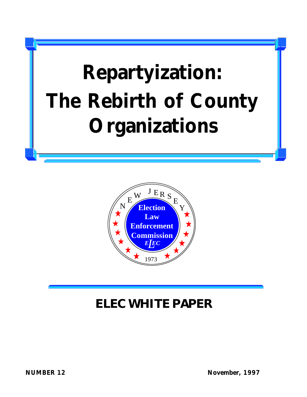# **Repartyization: The Rebirth of County Organizations**



#### **ELEC WHITE PAPER ELEC WHITE PAPER**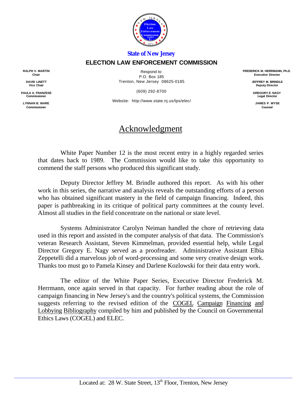

#### *State of New Jersey*

#### **ELECTION LAW ENFORCEMENT COMMISSION**

**RALPH V. MARTIN Chair**

> **DAVID LINETT Vice Chair**

**PAULA A. FRANZESE Commissioner**

**LYNNAN B. WARE Commissioner**

Respond to: P.O. Box 185 Trenton, New Jersey 08625-0185

(609) 292-8700

Website: http://www.state.nj.us/lps/elec/

#### Acknowledgment

White Paper Number 12 is the most recent entry in a highly regarded series that dates back to 1989. The Commission would like to take this opportunity to commend the staff persons who produced this significant study.

Deputy Director Jeffrey M. Brindle authored this report. As with his other work in this series, the narrative and analysis reveals the outstanding efforts of a person who has obtained significant mastery in the field of campaign financing. Indeed, this paper is pathbreaking in its critique of political party committees at the county level. Almost all studies in the field concentrate on the national or state level.

Systems Administrator Carolyn Neiman handled the chore of retrieving data used in this report and assisted in the computer analysis of that data. The Commission's veteran Research Assistant, Steven Kimmelman, provided essential help, while Legal Director Gregory E. Nagy served as a proofreader. Administrative Assistant Elbia Zeppetelli did a marvelous job of word-processing and some very creative design work. Thanks too must go to Pamela Kinsey and Darlene Kozlowski for their data entry work.

The editor of the White Paper Series, Executive Director Frederick M. Herrmann, once again served in that capacity. For further reading about the role of campaign financing in New Jersey's and the country's political systems, the Commission suggests referring to the revised edition of the COGEL Campaign Financing and Lobbying Bibliography compiled by him and published by the Council on Governmental Ethics Laws (COGEL) and ELEC.

**JEFFREY M. BRINDLE Deputy Director**

**GREGORY E. NAGY Legal Director**

**JAMES P. WYSE Counsel**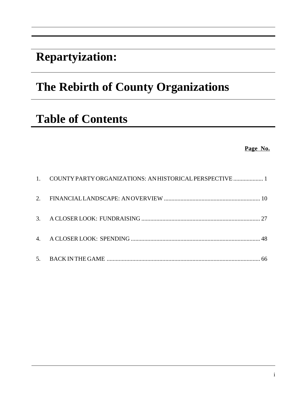### **Repartyization:**

### **The Rebirth of County Organizations**

### **Table of Contents**

**Page No.**

| 1. COUNTY PARTY ORGANIZATIONS: AN HISTORICAL PERSPECTIVE  1 |  |
|-------------------------------------------------------------|--|
|                                                             |  |
|                                                             |  |
|                                                             |  |
|                                                             |  |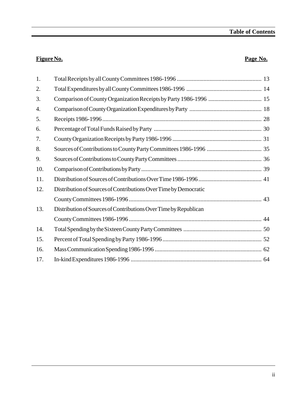#### **Figure No. Page No.**

| 1.  |                                                                  |  |
|-----|------------------------------------------------------------------|--|
| 2.  |                                                                  |  |
| 3.  |                                                                  |  |
| 4.  |                                                                  |  |
| 5.  |                                                                  |  |
| 6.  |                                                                  |  |
| 7.  |                                                                  |  |
| 8.  |                                                                  |  |
| 9.  |                                                                  |  |
| 10. |                                                                  |  |
| 11. |                                                                  |  |
| 12. | Distribution of Sources of Contributions Over Time by Democratic |  |
|     |                                                                  |  |
| 13. | Distribution of Sources of Contributions Over Time by Republican |  |
|     |                                                                  |  |
| 14. |                                                                  |  |
| 15. |                                                                  |  |
| 16. |                                                                  |  |
| 17. |                                                                  |  |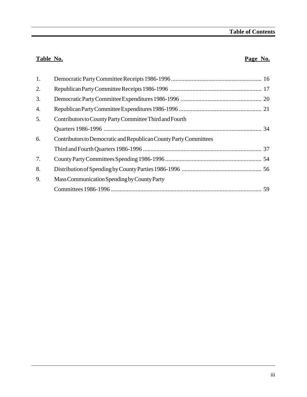#### **Table No. Page No.**

| 1. |                                                                   |  |
|----|-------------------------------------------------------------------|--|
| 2. |                                                                   |  |
| 3. |                                                                   |  |
| 4. |                                                                   |  |
| 5. | Contributors to County Party Committee Third and Fourth           |  |
|    |                                                                   |  |
| 6. | Contributors to Democratic and Republican County Party Committees |  |
|    |                                                                   |  |
| 7. |                                                                   |  |
| 8. |                                                                   |  |
| 9. | Mass Communication Spending by County Party                       |  |
|    |                                                                   |  |
|    |                                                                   |  |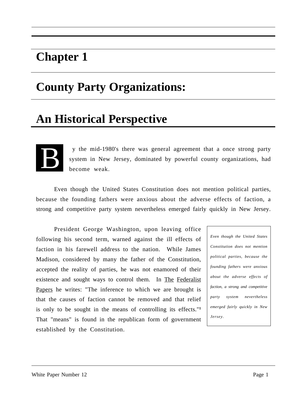### **Chapter 1**

### **County Party Organizations:**

### **An Historical Perspective**



 y the mid-1980's there was general agreement that a once strong party system in New Jersey, dominated by powerful county organizations, had become weak.

Even though the United States Constitution does not mention political parties, because the founding fathers were anxious about the adverse effects of faction, a strong and competitive party system nevertheless emerged fairly quickly in New Jersey.

President George Washington, upon leaving office following his second term, warned against the ill effects of faction in his farewell address to the nation. While James Madison, considered by many the father of the Constitution, accepted the reality of parties, he was not enamored of their existence and sought ways to control them. In The Federalist Papers he writes: "The inference to which we are brought is that the causes of faction cannot be removed and that relief is only to be sought in the means of controlling its effects."**<sup>1</sup>** That "means" is found in the republican form of government established by the Constitution.

*Even though the United States Constitution does not mention political parties, because the founding fathers were anxious about the adverse effects of faction, a strong and competitive party system nevertheless emerged fairly quickly in New Jersey.*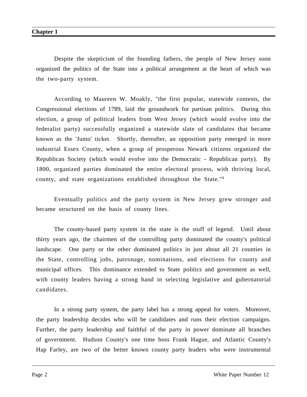Despite the skepticism of the founding fathers, the people of New Jersey soon organized the politics of the State into a political arrangement at the heart of which was the two-party system.

According to Maureen W. Moakly, "the first popular, statewide contests, the Congressional elections of 1789, laid the groundwork for partisan politics. During this election, a group of political leaders from West Jersey (which would evolve into the federalist party) successfully organized a statewide slate of candidates that became known as the 'Junto' ticket. Shortly, thereafter, an opposition party emerged in more industrial Essex County, when a group of prosperous Newark citizens organized the Republican Society (which would evolve into the Democratic - Republican party). By 1800, organized parties dominated the entire electoral process, with thriving local, county, and state organizations established throughout the State."**<sup>2</sup>**

Eventually politics and the party system in New Jersey grew stronger and became structured on the basis of county lines.

The county-based party system in the state is the stuff of legend. Until about thirty years ago, the chairmen of the controlling party dominated the county's political landscape. One party or the other dominated politics in just about all 21 counties in the State, controlling jobs, patronage, nominations, and elections for county and municipal offices. This dominance extended to State politics and government as well, with county leaders having a strong hand in selecting legislative and gubernatorial candidates.

In a strong party system, the party label has a strong appeal for voters. Moreover, the party leadership decides who will be candidates and runs their election campaigns. Further, the party leadership and faithful of the party in power dominate all branches of government. Hudson County's one time boss Frank Hague, and Atlantic County's Hap Farley, are two of the better known county party leaders who were instrumental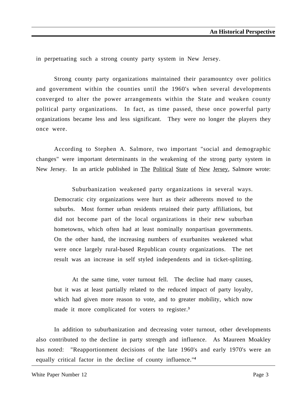in perpetuating such a strong county party system in New Jersey.

Strong county party organizations maintained their paramountcy over politics and government within the counties until the 1960's when several developments converged to alter the power arrangements within the State and weaken county political party organizations. In fact, as time passed, these once powerful party organizations became less and less significant. They were no longer the players they once were.

According to Stephen A. Salmore, two important "social and demographic changes" were important determinants in the weakening of the strong party system in New Jersey. In an article published in The Political State of New Jersey, Salmore wrote:

Suburbanization weakened party organizations in several ways. Democratic city organizations were hurt as their adherents moved to the suburbs. Most former urban residents retained their party affiliations, but did not become part of the local organizations in their new suburban hometowns, which often had at least nominally nonpartisan governments. On the other hand, the increasing numbers of exurbanites weakened what were once largely rural-based Republican county organizations. The net result was an increase in self styled independents and in ticket-splitting.

At the same time, voter turnout fell. The decline had many causes, but it was at least partially related to the reduced impact of party loyalty, which had given more reason to vote, and to greater mobility, which now made it more complicated for voters to register.**<sup>3</sup>**

In addition to suburbanization and decreasing voter turnout, other developments also contributed to the decline in party strength and influence. As Maureen Moakley has noted: "Reapportionment decisions of the late 1960's and early 1970's were an equally critical factor in the decline of county influence."**<sup>4</sup>**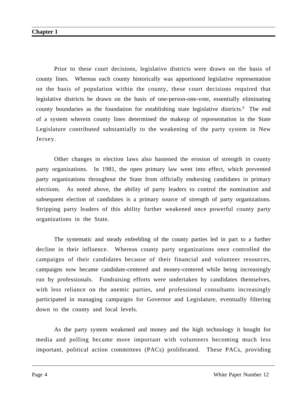Prior to these court decisions, legislative districts were drawn on the basis of county lines. Whereas each county historically was apportioned legislative representation on the basis of population within the county, these court decisions required that legislative districts be drawn on the basis of one-person-one-vote, essentially eliminating county boundaries as the foundation for establishing state legislative districts.<sup>5</sup> The end of a system wherein county lines determined the makeup of representation in the State Legislature contributed substantially to the weakening of the party system in New Jersey.

Other changes in election laws also hastened the erosion of strength in county party organizations. In 1981, the open primary law went into effect, which prevented party organizations throughout the State from officially endorsing candidates in primary elections. As noted above, the ability of party leaders to control the nomination and subsequent election of candidates is a primary source of strength of party organizations. Stripping party leaders of this ability further weakened once powerful county party organizations in the State.

The systematic and steady enfeebling of the county parties led in part to a further decline in their influence. Whereas county party organizations once controlled the campaigns of their candidates because of their financial and volunteer resources, campaigns now became candidate-centered and money-centered while being increasingly run by professionals. Fundraising efforts were undertaken by candidates themselves, with less reliance on the anemic parties, and professional consultants increasingly participated in managing campaigns for Governor and Legislature, eventually filtering down to the county and local levels.

As the party system weakened and money and the high technology it bought for media and polling became more important with volunteers becoming much less important, political action committees (PACs) proliferated. These PACs, providing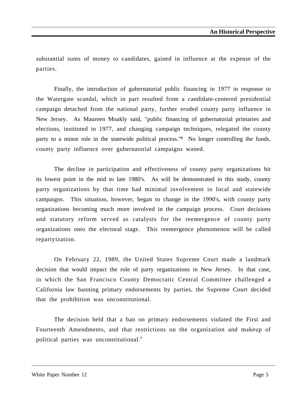substantial sums of money to candidates, gained in influence at the expense of the parties.

Finally, the introduction of gubernatorial public financing in 1977 in response to the Watergate scandal, which in part resulted from a candidate-centered presidential campaign detached from the national party, further eroded county party influence in New Jersey. As Maureen Moakly said, "public financing of gubernatorial primaries and elections, instituted in 1977, and changing campaign techniques, relegated the county party to a minor role in the statewide political process."<sup>6</sup> No longer controlling the funds, county party influence over gubernatorial campaigns waned.

The decline in participation and effectiveness of county party organizations hit its lowest point in the mid to late 1980's. As will be demonstrated in this study, county party organizations by that time had minimal involvement in local and statewide campaigns. This situation, however, began to change in the 1990's, with county party organizations becoming much more involved in the campaign process. Court decisions and statutory reform served as catalysts for the reemergence of county party organizations onto the electoral stage. This reemergence phenomenon will be called repartyization.

On February 22, 1989, the United States Supreme Court made a landmark decision that would impact the role of party organizations in New Jersey. In that case, in which the San Francisco County Democratic Central Committee challenged a California law banning primary endorsements by parties, the Supreme Court decided that the prohibition was unconstitutional.

The decision held that a ban on primary endorsements violated the First and Fourteenth Amendments, and that restrictions on the organization and makeup of political parties was unconstitutional.**<sup>7</sup>**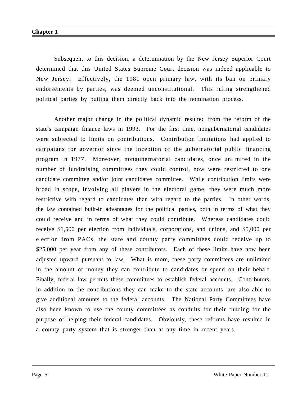Subsequent to this decision, a determination by the New Jersey Superior Court determined that this United States Supreme Court decision was indeed applicable to New Jersey. Effectively, the 1981 open primary law, with its ban on primary endorsements by parties, was deemed unconstitutional. This ruling strengthened political parties by putting them directly back into the nomination process.

Another major change in the political dynamic resulted from the reform of the state's campaign finance laws in 1993. For the first time, nongubernatorial candidates were subjected to limits on contributions. Contribution limitations had applied to campaigns for governor since the inception of the gubernatorial public financing program in 1977. Moreover, nongubernatorial candidates, once unlimited in the number of fundraising committees they could control, now were restricted to one candidate committee and/or joint candidates committee. While contribution limits were broad in scope, involving all players in the electoral game, they were much more restrictive with regard to candidates than with regard to the parties. In other words, the law contained built-in advantages for the political parties, both in terms of what they could receive and in terms of what they could contribute. Whereas candidates could receive \$1,500 per election from individuals, corporations, and unions, and \$5,000 per election from PACs, the state and county party committees could receive up to \$25,000 per year from any of these contributors. Each of these limits have now been adjusted upward pursuant to law. What is more, these party committees are unlimited in the amount of money they can contribute to candidates or spend on their behalf. Finally, federal law permits these committees to establish federal accounts. Contributors, in addition to the contributions they can make to the state accounts, are also able to give additional amounts to the federal accounts. The National Party Committees have also been known to use the county committees as conduits for their funding for the purpose of helping their federal candidates. Obviously, these reforms have resulted in a county party system that is stronger than at any time in recent years.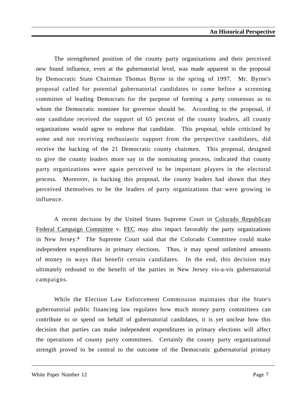The strengthened position of the county party organizations and their perceived new found influence, even at the gubernatorial level, was made apparent in the proposal by Democratic State Chairman Thomas Byrne in the spring of 1997. Mr. Byrne's proposal called for potential gubernatorial candidates to come before a screening committee of leading Democrats for the purpose of forming a party consensus as to whom the Democratic nominee for governor should be. According to the proposal, if one candidate received the support of 65 percent of the county leaders, all county organizations would agree to endorse that candidate. This proposal, while criticized by some and not receiving enthusiastic support from the perspective candidates, did receive the backing of the 21 Democratic county chairmen. This proposal, designed to give the county leaders more say in the nominating process, indicated that county party organizations were again perceived to be important players in the electoral process. Moreover, in backing this proposal, the county leaders had shown that they perceived themselves to be the leaders of party organizations that were growing in influence.

A recent decision by the United States Supreme Court in Colorado Republican Federal Campaign Committee v. FEC may also impact favorably the party organizations in New Jersey.**<sup>8</sup>** The Supreme Court said that the Colorado Committee could make independent expenditures in primary elections. Thus, it may spend unlimited amounts of money in ways that benefit certain candidates. In the end, this decision may ultimately redound to the benefit of the parties in New Jersey vis-a-vis gubernatorial campaigns.

While the Election Law Enforcement Commission maintains that the State's gubernatorial public financing law regulates how much money party committees can contribute to or spend on behalf of gubernatorial candidates, it is yet unclear how this decision that parties can make independent expenditures in primary elections will affect the operations of county party committees. Certainly the county party organizational strength proved to be central to the outcome of the Democratic gubernatorial primary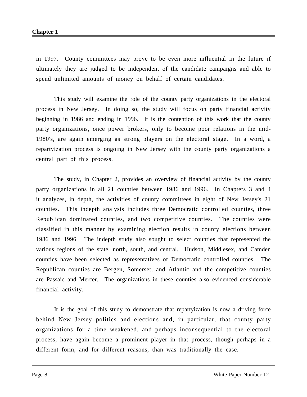in 1997. County committees may prove to be even more influential in the future if ultimately they are judged to be independent of the candidate campaigns and able to spend unlimited amounts of money on behalf of certain candidates.

This study will examine the role of the county party organizations in the electoral process in New Jersey. In doing so, the study will focus on party financial activity beginning in 1986 and ending in 1996. It is the contention of this work that the county party organizations, once power brokers, only to become poor relations in the mid-1980's, are again emerging as strong players on the electoral stage. In a word, a repartyization process is ongoing in New Jersey with the county party organizations a central part of this process.

The study, in Chapter 2, provides an overview of financial activity by the county party organizations in all 21 counties between 1986 and 1996. In Chapters 3 and 4 it analyzes, in depth, the activities of county committees in eight of New Jersey's 21 counties. This indepth analysis includes three Democratic controlled counties, three Republican dominated counties, and two competitive counties. The counties were classified in this manner by examining election results in county elections between 1986 and 1996. The indepth study also sought to select counties that represented the various regions of the state, north, south, and central. Hudson, Middlesex, and Camden counties have been selected as representatives of Democratic controlled counties. The Republican counties are Bergen, Somerset, and Atlantic and the competitive counties are Passaic and Mercer. The organizations in these counties also evidenced considerable financial activity.

It is the goal of this study to demonstrate that repartyization is now a driving force behind New Jersey politics and elections and, in particular, that county party organizations for a time weakened, and perhaps inconsequential to the electoral process, have again become a prominent player in that process, though perhaps in a different form, and for different reasons, than was traditionally the case.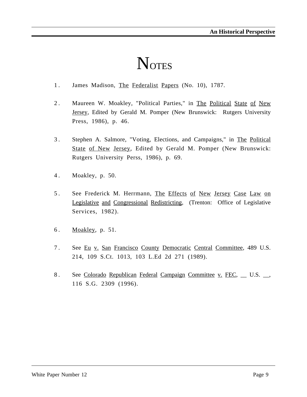# **NOTES**

- 1. James Madison, The Federalist Papers (No. 10), 1787.
- 2. Maureen W. Moakley, "Political Parties," in The Political State of New Jersey, Edited by Gerald M. Pomper (New Brunswick: Rutgers University Press, 1986), p. 46.
- 3 . Stephen A. Salmore, "Voting, Elections, and Campaigns," in The Political State of New Jersey, Edited by Gerald M. Pomper (New Brunswick: Rutgers University Perss, 1986), p. 69.
- 4 . Moakley, p. 50.
- 5. See Frederick M. Herrmann, The Effects of New Jersey Case Law on Legislative and Congressional Redistricting, (Trenton: Office of Legislative Services, 1982).
- 6 . Moakley, p. 51.
- 7. See Eu v. San Francisco County Democratic Central Committee, 489 U.S. 214, 109 S.Ct. 1013, 103 L.Ed 2d 271 (1989).
- 8. See Colorado Republican Federal Campaign Committee v. FEC, U.S.  $\Box$ 116 S.G. 2309 (1996).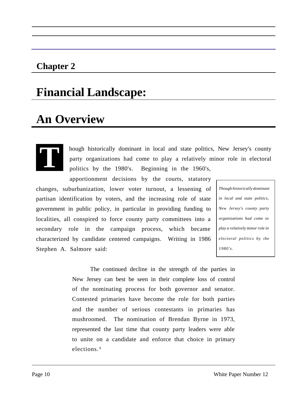### **Chapter 2**

### **Financial Landscape:**

### **An Overview**

**T**

hough historically dominant in local and state politics, New Jersey's county party organizations had come to play a relatively minor role in electoral politics by the 1980's. Beginning in the 1960's,

apportionment decisions by the courts, statutory changes, suburbanization, lower voter turnout, a lessening of partisan identification by voters, and the increasing role of state government in public policy, in particular in providing funding to localities, all conspired to force county party committees into a secondary role in the campaign process, which became characterized by candidate centered campaigns. Writing in 1986 Stephen A. Salmore said:

*Though historically dominant in local and state politics, New Jersey's county party organizations had come to play a relatively minor role in electoral politics by the 1980's.*

The continued decline in the strength of the parties in New Jersey can best be seen in their complete loss of control of the nominating process for both governor and senator. Contested primaries have become the role for both parties and the number of serious contestants in primaries has mushroomed. The nomination of Brendan Byrne in 1973, represented the last time that county party leaders were able to unite on a candidate and enforce that choice in primary elections. **<sup>1</sup>**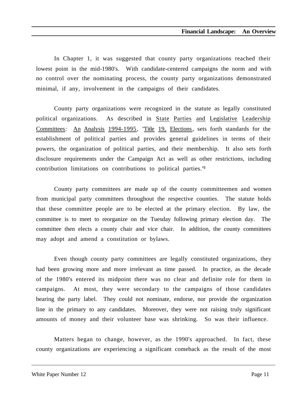In Chapter 1, it was suggested that county party organizations reached their lowest point in the mid-1980's. With candidate-centered campaigns the norm and with no control over the nominating process, the county party organizations demonstrated minimal, if any, involvement in the campaigns of their candidates.

County party organizations were recognized in the statute as legally constituted political organizations. As described in State Parties and Legislative Leadership Committees: An Analysis 1994-1995, "Title 19, Elections, sets forth standards for the establishment of political parties and provides general guidelines in terms of their powers, the organization of political parties, and their membership. It also sets forth disclosure requirements under the Campaign Act as well as other restrictions, including contribution limitations on contributions to political parties."**<sup>2</sup>**

County party committees are made up of the county committeemen and women from municipal party committees throughout the respective counties. The statute holds that these committee people are to be elected at the primary election. By law, the committee is to meet to reorganize on the Tuesday following primary election day. The committee then elects a county chair and vice chair. In addition, the county committees may adopt and amend a constitution or bylaws.

Even though county party committees are legally constituted organizations, they had been growing more and more irrelevant as time passed. In practice, as the decade of the 1980's entered its midpoint there was no clear and definite role for them in campaigns. At most, they were secondary to the campaigns of those candidates bearing the party label. They could not nominate, endorse, nor provide the organization line in the primary to any candidates. Moreover, they were not raising truly significant amounts of money and their volunteer base was shrinking. So was their influence.

Matters began to change, however, as the 1990's approached. In fact, these county organizations are experiencing a significant comeback as the result of the most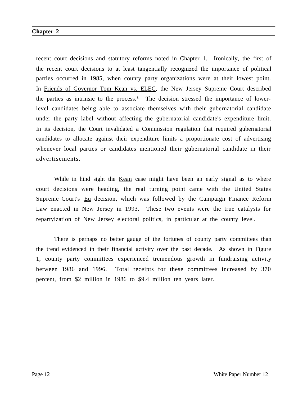recent court decisions and statutory reforms noted in Chapter 1. Ironically, the first of the recent court decisions to at least tangentially recognized the importance of political parties occurred in 1985, when county party organizations were at their lowest point. In Friends of Governor Tom Kean vs. ELEC, the New Jersey Supreme Court described the parties as intrinsic to the process.<sup>3</sup> The decision stressed the importance of lowerlevel candidates being able to associate themselves with their gubernatorial candidate under the party label without affecting the gubernatorial candidate's expenditure limit. In its decision, the Court invalidated a Commission regulation that required gubernatorial candidates to allocate against their expenditure limits a proportionate cost of advertising whenever local parties or candidates mentioned their gubernatorial candidate in their advertisements.

While in hind sight the Kean case might have been an early signal as to where court decisions were heading, the real turning point came with the United States Supreme Court's Eu decision, which was followed by the Campaign Finance Reform Law enacted in New Jersey in 1993. These two events were the true catalysts for repartyization of New Jersey electoral politics, in particular at the county level.

There is perhaps no better gauge of the fortunes of county party committees than the trend evidenced in their financial activity over the past decade. As shown in Figure 1, county party committees experienced tremendous growth in fundraising activity between 1986 and 1996. Total receipts for these committees increased by 370 percent, from \$2 million in 1986 to \$9.4 million ten years later.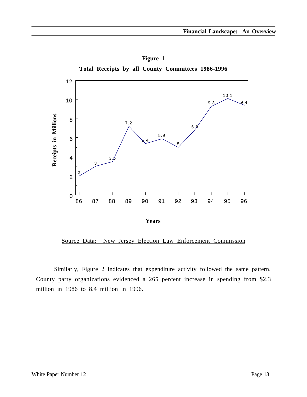

**Figure 1 Total Receipts by all County Committees 1986-1996**

Source Data: New Jersey Election Law Enforcement Commission

Similarly, Figure 2 indicates that expenditure activity followed the same pattern. County party organizations evidenced a 265 percent increase in spending from \$2.3 million in 1986 to 8.4 million in 1996.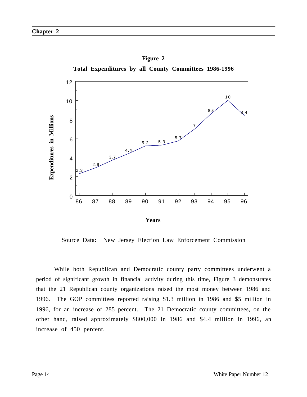

**Figure 2**

Source Data: New Jersey Election Law Enforcement Commission

While both Republican and Democratic county party committees underwent a period of significant growth in financial activity during this time, Figure 3 demonstrates that the 21 Republican county organizations raised the most money between 1986 and 1996. The GOP committees reported raising \$1.3 million in 1986 and \$5 million in 1996, for an increase of 285 percent. The 21 Democratic county committees, on the other hand, raised approximately \$800,000 in 1986 and \$4.4 million in 1996, an increase of 450 percent.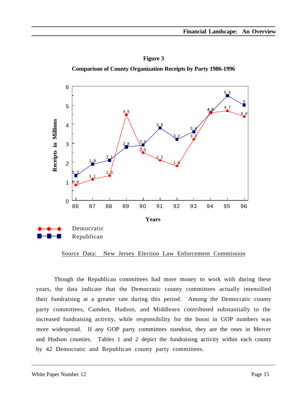**Figure 3 Comparison of County Organization Receipts by Party 1986-1996**



Source Data: New Jersey Election Law Enforcement Commission

Though the Republican committees had more money to work with during these years, the data indicate that the Democratic county committees actually intensified their fundraising at a greater rate during this period. Among the Democratic county party committees, Camden, Hudson, and Middlesex contributed substantially to the increased fundraising activity, while responsibility for the boost in GOP numbers was more widespread. If any GOP party committees standout, they are the ones in Mercer and Hudson counties. Tables 1 and 2 depict the fundraising activity within each county by 42 Democratic and Republican county party committees.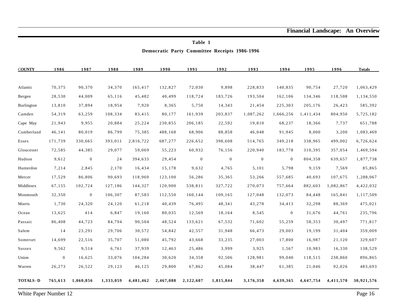|                   | Democratic Party Committee Receipts 1986-1996 |                  |           |           |           |              |                |                |                |           |           |               |
|-------------------|-----------------------------------------------|------------------|-----------|-----------|-----------|--------------|----------------|----------------|----------------|-----------|-----------|---------------|
| <b>COUNTY</b>     | 1986                                          | 1987             | 1988      | 1989      | 1990      | 1991         | 1992           | 1993           | 1994           | 1995      | 1996      | <b>Totals</b> |
| Atlantic          | 70,375                                        | 90,370           | 34,370    | 165,417   | 132,827   | 72,030       | 9,898          | 228,833        | 140,835        | 90,754    | 27,720    | 1,063,429     |
| Bergen            | 28,530                                        | 44,009           | 65,116    | 45,482    | 40,499    | 118,724      | 183,726        | 193,504        | 162,106        | 134,346   | 118,508   | 1,134,550     |
| Burlington        | 13,810                                        | 37,894           | 18,954    | 7,920     | 8,365     | 5,750        | 14,343         | 21,454         | 225,303        | 205,176   | 26,423    | 585,392       |
| Camden            | 54,319                                        | 63,259           | 108,334   | 83,415    | 80,177    | 161,939      | 203,837        | 1,087,262      | 1,666,256      | 1,411,434 | 804,950   | 5,725,182     |
| Cape May          | 21,943                                        | 9,955            | 20,884    | 25,224    | 230,855   | 206,185      | 22,592         | 19,810         | 68,237         | 18,366    | 7,737     | 651,788       |
| Cumberland        | 46,141                                        | 80,019           | 86,799    | 75,385    | 488,168   | 68,906       | 88,858         | 46,048         | 91,945         | 8,000     | 3,200     | 1,083,469     |
| Essex             | 171,739                                       | 330,665          | 393,011   | 2,816,722 | 687,277   | 226,652      | 398,608        | 514,765        | 349,218        | 338,965   | 499,002   | 6,726,624     |
| Gloucester        | 72,585                                        | 44,385           | 29,077    | 59,069    | 55,223    | 60,932       | 76,156         | 220,940        | 183,778        | 310,395   | 357,054   | 1,469,594     |
| Hudson            | 9,612                                         | $\overline{0}$   | 24        | 394,633   | 29,454    | $\mathbf{0}$ | $\overline{0}$ | $\overline{0}$ | $\mathbf{0}$   | 804,358   | 639,657   | 1,877,738     |
| Hunterdon         | 7,214                                         | 2,845            | 2,170     | 16,434    | 15,178    | 9,632        | 4,765          | 5,101          | 5,798          | 9,159     | 7,569     | 85,865        |
| Mercer            | 17,529                                        | 86,806           | 90,693    | 118,969   | 123,100   | 56,286       | 35,365         | 53,266         | 557,685        | 40,693    | 107,675   | 1,288,067     |
| Middlesex         | 67,155                                        | 102,724          | 127,186   | 144,327   | 120,900   | 538,811      | 327,722        | 270,073        | 757,664        | 882,603   | 1,082,867 | 4,422,032     |
| Monmouth          | 32,350                                        | $\boldsymbol{0}$ | 106,307   | 87,583    | 112,550   | 160,144      | 109,165        | 127,048        | 132,073        | 84,448    | 165,841   | 1,117,509     |
| Morris            | 1,730                                         | 24,320           | 24,120    | 61,218    | 40,439    | 76,495       | 48,341         | 43,278         | 34,413         | 32,298    | 88,369    | 475,021       |
| Ocean             | 13,625                                        | 414              | 6,847     | 19,160    | 80,035    | 12,569       | 18,164         | 8,545          | $\overline{0}$ | 31,676    | 44,761    | 235,796       |
| Passaic           | 86,408                                        | 44,723           | 84,794    | 90,504    | 48,524    | 133,621      | 67,532         | 71,602         | 55,259         | 58,353    | 30,497    | 771,817       |
| Salem             | 14                                            | 23,291           | 29,706    | 30,572    | 54,842    | 42,557       | 31,948         | 66,473         | 29,003         | 19,199    | 31,404    | 359,009       |
| Somerset          | 14,699                                        | 22,516           | 35,707    | 51,080    | 45,792    | 43,668       | 33,235         | 27,003         | 17,800         | 16,987    | 21,120    | 329,607       |
| Sussex            | 9,562                                         | 9,514            | 6,761     | 37,939    | 12,463    | 25,486       | 3,999          | 3,925          | 1,567          | 10,983    | 16,330    | 138,529       |
| Union             | $\overline{0}$                                | 16,625           | 33,076    | 104,284   | 30,620    | 34,358       | 92,506         | 128,981        | 99,040         | 118,515   | 238,860   | 896,865       |
| Warren            | 26,273                                        | 26,522           | 29,123    | 46,125    | 29,800    | 67,862       | 45,084         | 38,447         | 61,385         | 21,046    | 92,026    | 483,693       |
| <b>TOTALS - D</b> | 765,613                                       | 1,060,856        | 1,333,059 | 4,481,462 | 2,467,088 | 2,122,607    | 1,815,844      | 3,176,358      | 4,639,365      | 4,647,754 | 4,411,570 | 30,921,576    |

**Table 1**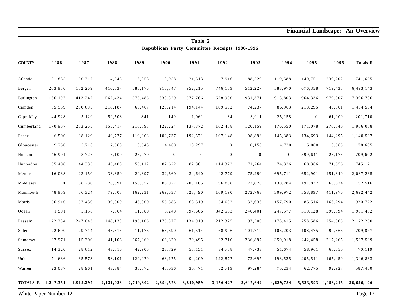**Financial Landscape: An Overview**

| Republican Party Committee Receipts 1986-1996 |                |           |           |           |                  |                  |                  |                  |                |                |                         |            |
|-----------------------------------------------|----------------|-----------|-----------|-----------|------------------|------------------|------------------|------------------|----------------|----------------|-------------------------|------------|
| <b>COUNTY</b>                                 | 1986           | 1987      | 1988      | 1989      | 1990             | 1991             | 1992             | 1993             | 1994           | 1995           | 1996                    | Totals R   |
|                                               |                |           |           |           |                  |                  |                  |                  |                |                |                         |            |
| Atlantic                                      | 31,885         | 50,317    | 14,943    | 16,053    | 10,958           | 21,513           | 7,916            | 88,529           | 119,588        | 140,751        | 239,202                 | 741,655    |
| Bergen                                        | 203,950        | 182,269   | 410,537   | 585,176   | 915,847          | 952,215          | 746,159          | 512,227          | 588,970        | 676,358        | 719,435                 | 6,493,143  |
| Burlington                                    | 166,197        | 413,247   | 567,434   | 573,486   | 630,829          | 577,766          | 678,930          | 931,371          | 913,803        | 964,336        | 979,307                 | 7,396,706  |
| Camden                                        | 65,939         | 250,695   | 216,187   | 65,467    | 123,214          | 194,144          | 109,592          | 74,237           | 86,963         | 218,295        | 49,801                  | 1,454,534  |
| Cape May                                      | 44,928         | 5,120     | 59,508    | 841       | 149              | 1,061            | 34               | 3,011            | 25,158         | $\overline{0}$ | 61,900                  | 201,710    |
| Cumberland                                    | 170,907        | 263,265   | 155,417   | 216,098   | 122,224          | 137,872          | 162,458          | 120,159          | 176,550        | 171,078        | 270,040                 | 1,966,068  |
| Essex                                         | 6,500          | 38,129    | 40,777    | 119,308   | 102,737          | 192,671          | 107,148          | 108,896          | 145,383        | 134,693        | 144,295                 | 1,140,537  |
| Gloucester                                    | 9,250          | 5,710     | 7,960     | 10,543    | 4,400            | 10,297           | $\overline{0}$   | 10,150           | 4,730          | 5,000          | 10,565                  | 78,605     |
| Hudson                                        | 46,991         | 3,725     | 5,100     | 25,970    | $\boldsymbol{0}$ | $\boldsymbol{0}$ | $\boldsymbol{0}$ | $\boldsymbol{0}$ | $\overline{0}$ | 599,641        | 28,175                  | 709,602    |
| Hunterdon                                     | 35,408         | 44,333    | 45,400    | 55,112    | 82,622           | 82,301           | 114,373          | 71,264           | 74,336         | 68,366         | 71,656                  | 745,171    |
| Mercer                                        | 16,038         | 23,150    | 33,350    | 29,397    | 32,660           | 34,640           | 42,779           | 75,290           | 695,711        | 652,901        | 451,349                 | 2,087,265  |
| Middlesex                                     | $\overline{0}$ | 68,230    | 70,391    | 153,352   | 86,927           | 208,105          | 96,888           | 122,878          | 130,284        | 191,837        | 63,624                  | 1,192,516  |
| Monmouth                                      | 48,959         | 86,324    | 79,003    | 162,231   | 269,637          | 523,490          | 169,190          | 272,763          | 309,972        | 358,897        | 411,976                 | 2,692,442  |
| Morris                                        | 56,910         | 57,430    | 39,000    | 46,000    | 56,585           | 68,519           | 54,092           | 132,636          | 157,790        | 85,516         | 166,294                 | 920,772    |
| Ocean                                         | 1,591          | 5,150     | 7,864     | 11,380    | 8,248            | 397,606          | 342,563          | 240,401          | 247,577        | 319,128        | 399,894                 | 1,981,402  |
| Passaic                                       | 172,284        | 247,043   | 148,130   | 193,106   | 175,877          | 134,919          | 212,325          | 197,500          | 178,415        | 258,586        | 254,065                 | 2,172,250  |
| Salem                                         | 22,600         | 29,714    | 43,815    | 11,175    | 68,390           | 61,514           | 68,906           | 101,719          | 103,203        | 108,475        | 90,366                  | 709,877    |
| Somerset                                      | 37,971         | 15,300    | 41,106    | 267,060   | 66,329           | 29,495           | 32,710           | 236,897          | 350,918        | 242,458        | 217,265                 | 1,537,509  |
| Sussex                                        | 14,320         | 28,612    | 43,616    | 42,905    | 23,729           | 58,151           | 34,768           | 47,733           | 51,674         | 58,961         | 65,650                  | 470,119    |
| Union                                         | 71,636         | 65,573    | 58,101    | 129,070   | 68,175           | 94,209           | 122,877          | 172,697          | 193,525        | 205,541        | 165,459                 | 1,346,863  |
| Warren                                        | 23,087         | 28,961    | 43,384    | 35,572    | 45,036           | 30,471           | 52,719           | 97,284           | 75,234         | 62,775         | 92,927                  | 587,450    |
| TOTALS-R 1,247,351                            |                | 1,912,297 | 2,131,023 | 2,749,302 | 2,894,573        | 3,810,959        | 3,156,427        | 3,617,642        | 4,629,784      |                | 5, 523, 593 4, 953, 245 | 36,626,196 |

**Table 2**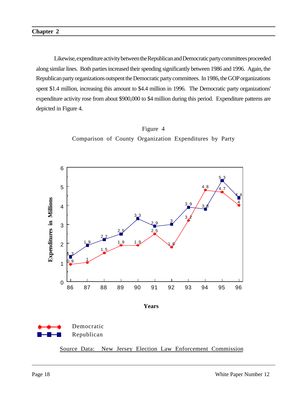Likewise, expenditure activity between the Republican and Democratic party committees proceeded along similar lines. Both parties increased their spending significantly between 1986 and 1996. Again, the Republican party organizations outspent the Democratic party committees. In 1986, the GOP organizations spent \$1.4 million, increasing this amount to \$4.4 million in 1996. The Democratic party organizations' expenditure activity rose from about \$900,000 to \$4 million during this period. Expenditure patterns are depicted in Figure 4.





**Years**



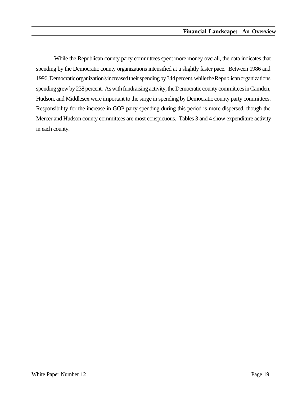While the Republican county party committees spent more money overall, the data indicates that spending by the Democratic county organizations intensified at a slightly faster pace. Between 1986 and 1996, Democratic organization's increased their spending by 344 percent, while the Republican organizations spending grew by 238 percent. As with fundraising activity, the Democratic county committees in Camden, Hudson, and Middlesex were important to the surge in spending by Democratic county party committees. Responsibility for the increase in GOP party spending during this period is more dispersed, though the Mercer and Hudson county committees are most conspicuous. Tables 3 and 4 show expenditure activity in each county.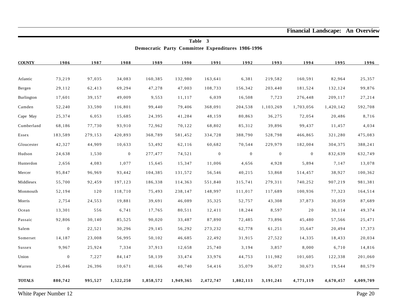**Financial Landscape: An Overview**

| Democratic Party Committee Expenditures 1986-1996 |                  |         |                  |           |           |              |                |                  |              |           |           |
|---------------------------------------------------|------------------|---------|------------------|-----------|-----------|--------------|----------------|------------------|--------------|-----------|-----------|
| <b>COUNTY</b>                                     | 1986             | 1987    | 1988             | 1989      | 1990      | 1991         | 1992           | 1993             | 1994         | 1995      | 1996      |
| Atlantic                                          | 73,219           | 97,035  | 34,083           | 160,385   | 132,980   | 163,641      | 6,381          | 219,582          | 160,591      | 82,964    | 25,357    |
| Bergen                                            | 29,112           | 62,413  | 69,294           | 47,278    | 47,003    | 108,733      | 156,342        | 203,440          | 181,524      | 132,124   | 99,876    |
| Burlington                                        | 17,601           | 39,157  | 49,009           | 9,553     | 11,117    | 6,039        | 16,508         | 7,723            | 276,448      | 209,117   | 27,214    |
| Camden                                            | 52,240           | 33,590  | 116,801          | 99,440    | 79,406    | 368,091      | 204,538        | 1,103,269        | 1,703,056    | 1,420,142 | 592,708   |
| Cape May                                          | 25,374           | 6,053   | 15,685           | 24,395    | 41,284    | 48,159       | 80,863         | 36,275           | 72,054       | 20,486    | 8,716     |
| Cumberland                                        | 68,186           | 77,730  | 93,910           | 72,962    | 70,122    | 68,802       | 85,312         | 39,896           | 99,437       | 11,457    | 4,034     |
| Essex                                             | 183,589          | 279,153 | 420,893          | 368,789   | 581,452   | 334,728      | 388,790        | 528,798          | 466,865      | 321,280   | 475,083   |
| Gloucester                                        | 42,327           | 44,909  | 10,633           | 53,492    | 62,116    | 60,682       | 70,544         | 229,979          | 182,004      | 304,375   | 388,241   |
| Hudson                                            | 24,638           | 1,530   | $\boldsymbol{0}$ | 277,477   | 74,521    | $\mathbf{0}$ | $\overline{0}$ | $\boldsymbol{0}$ | $\mathbf{0}$ | 832,639   | 632,749   |
| Hunterdon                                         | 2,656            | 4,083   | 1,077            | 15,645    | 15,347    | 11,006       | 4,656          | 4,928            | 5,894        | 7,147     | 13,078    |
| Mercer                                            | 95,847           | 96,969  | 93,442           | 104,385   | 131,572   | 56,546       | 40,215         | 53,868           | 514,457      | 38,927    | 100,362   |
| Middlesex                                         | 55,700           | 92,459  | 197,123          | 186,338   | 114,363   | 551,840      | 315,741        | 279,311          | 740,252      | 907,219   | 981,381   |
| Monmouth                                          | 52,194           | 120     | 118,710          | 75,493    | 238,147   | 148,997      | 111,017        | 117,689          | 100,936      | 77,323    | 164,514   |
| Morris                                            | 2,754            | 24,553  | 19,881           | 39,691    | 46,089    | 35,325       | 52,757         | 43,308           | 37,873       | 30,059    | 87,689    |
| Ocean                                             | 13,301           | 556     | 6,741            | 17,765    | 80,511    | 12,411       | 18,244         | 8,597            | $2\,0$       | 30,114    | 49,374    |
| Passaic                                           | 92,806           | 30,140  | 85,525           | 90,020    | 33,487    | 87,890       | 72,485         | 73,896           | 45,480       | 57,566    | 25,471    |
| Salem                                             | $\boldsymbol{0}$ | 22,521  | 30,296           | 29,145    | 56,292    | 273,232      | 62,778         | 61,251           | 35,647       | 20,494    | 17,373    |
| Somerset                                          | 14,187           | 23,008  | 56,995           | 50,102    | 46,685    | 22,492       | 31,915         | 27,522           | 14,335       | 18,433    | 20,034    |
| Sussex                                            | 9,967            | 25,924  | 7,334            | 37,913    | 12,658    | 25,740       | 3,194          | 3,857            | 8,000        | 6,710     | 14,816    |
| Union                                             | $\boldsymbol{0}$ | 7,227   | 84,147           | 58,139    | 33,474    | 33,976       | 44,753         | 111,982          | 101,605      | 122,338   | 201,060   |
| Warren                                            | 25,046           | 26,396  | 10,671           | 40,166    | 40,740    | 54,416       | 35,079         | 36,072           | 30,673       | 19,544    | 80,579    |
| <b>TOTALS</b>                                     | 880,742          | 995,527 | 1,522,250        | 1,858,572 | 1,949,365 | 2,472,747    | 1,802,113      | 3,191,241        | 4,771,119    | 4,670,457 | 4,009,709 |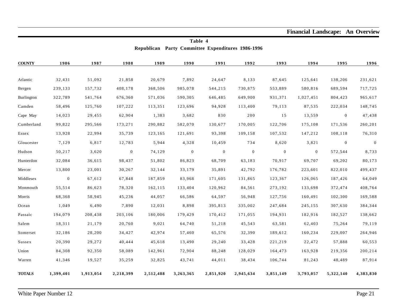**Financial Landscape: An Overview**

| Republican Party Committee Expenditures 1986-1996 |                |           |                  |           |                  |                |                  |                  |                |                  |              |
|---------------------------------------------------|----------------|-----------|------------------|-----------|------------------|----------------|------------------|------------------|----------------|------------------|--------------|
| <b>COUNTY</b>                                     | 1986           | 1987      | 1988             | 1989      | 1990             | 1991           | 1992             | 1993             | 1994           | 1995             | 1996         |
| Atlantic                                          | 32,431         | 51,092    | 21,858           | 20,679    | 7,892            | 24,647         | 8,133            | 87,645           | 125,641        | 138,206          | 231,621      |
| Bergen                                            | 239,133        | 157,732   | 408,178          | 368,506   | 985,078          | 544,215        | 730,875          | 553,889          | 580,816        | 689,594          | 717,725      |
| Burlington                                        | 322,789        | 541,764   | 676,360          | 571,036   | 590,305          | 646,485        | 649,900          | 931,371          | 1,027,451      | 804,423          | 965,617      |
| Camden                                            | 58,496         | 125,760   | 107,222          | 113,351   | 123,696          | 94,928         | 113,400          | 79,113           | 87,535         | 222,034          | 148,745      |
| Cape May                                          | 14,023         | 29,455    | 62,904           | 1,383     | 3,682            | 830            | 200              | 15               | 13,559         | $\boldsymbol{0}$ | 47,438       |
| Cumberland                                        | 99,822         | 295,566   | 173,271          | 290,882   | 582,070          | 130,677        | 170,005          | 122,706          | 175,108        | 171,536          | 260,201      |
| Essex                                             | 13,928         | 22,994    | 35,739           | 123,165   | 121,691          | 93,398         | 109,158          | 107,532          | 147,212        | 108,118          | 76,310       |
| Gloucester                                        | 7,129          | 6,817     | 12,783           | 5,944     | 4,328            | 10,459         | 734              | 8,620            | 3,821          | $\mathbf{0}$     | $\mathbf{0}$ |
| Hudson                                            | 50,217         | 3,620     | $\boldsymbol{0}$ | 74,129    | $\boldsymbol{0}$ | $\overline{0}$ | $\boldsymbol{0}$ | $\boldsymbol{0}$ | $\overline{0}$ | 572,544          | 8,733        |
| Hunterdon                                         | 32,084         | 36,615    | 98,437           | 51,802    | 86,823           | 68,709         | 63,183           | 70,917           | 69,707         | 69,202           | 80,173       |
| Mercer                                            | 13,800         | 23,001    | 30,267           | 32,144    | 33,179           | 35,891         | 42,792           | 176,782          | 223,601        | 822,010          | 499,437      |
| Middlesex                                         | $\overline{0}$ | 67,612    | 67,848           | 187,859   | 83,968           | 171,605        | 131,865          | 123,367          | 126,065        | 187,426          | 64,049       |
| Monmouth                                          | 55,514         | 86,623    | 78,320           | 162,115   | 133,404          | 120,962        | 84,561           | 273,192          | 133,698        | 372,474          | 408,764      |
| Morris                                            | 68,368         | 58,945    | 45,236           | 44,057    | 66,586           | 64,597         | 56,948           | 127,756          | 160,491        | 102,300          | 169,588      |
| $Ocean$                                           | 1,049          | 6,490     | 7,890            | 12,031    | 8,898            | 395,813        | 335,002          | 247,684          | 245,155        | 307,630          | 384,344      |
| Passaic                                           | 194,079        | 208,438   | 203,106          | 180,006   | 179,429          | 170,412        | 171,055          | 194,931          | 182,916        | 182,527          | 138,662      |
| Salem                                             | 18,311         | 21,179    | 20,760           | 9,021     | 64,740           | 51,218         | 45,543           | 63,581           | 62,403         | 75,264           | 79,119       |
| Somerset                                          | 32,186         | 28,200    | 34,427           | 42,974    | 57,460           | 65,576         | 32,390           | 189,612          | 160,234        | 229,007          | 264,946      |
| Sussex                                            | 20,390         | 29,272    | 40,444           | 45,618    | 13,490           | 29,240         | 33,428           | 221,219          | 22,472         | 57,888           | 60,553       |
| Union                                             | 84,308         | 92,350    | 58,089           | 142,961   | 72,904           | 88,248         | 128,029          | 164,473          | 163,928        | 219,356          | 200,214      |
| Warren                                            | 41,346         | 19,527    | 35,259           | 32,825    | 43,741           | 44,011         | 38,434           | 106,744          | 81,243         | 48,489           | 87,914       |
| <b>TOTALS</b>                                     | 1,399,401      | 1,913,054 | 2,218,399        | 2,512,488 | 3,263,365        | 2,851,920      | 2,945,634        | 3,851,149        | 3,793,057      | 5,322,140        | 4,383,830    |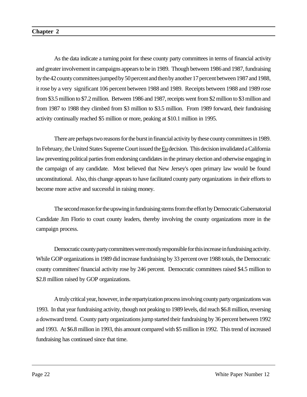#### **Chapter 2**

As the data indicate a turning point for these county party committees in terms of financial activity and greater involvement in campaigns appears to be in 1989. Though between 1986 and 1987, fundraising by the 42 county committees jumped by 50 percent and then by another 17 percent between 1987 and 1988, it rose by a very significant 106 percent between 1988 and 1989. Receipts between 1988 and 1989 rose from \$3.5 million to \$7.2 million. Between 1986 and 1987, receipts went from \$2 million to \$3 million and from 1987 to 1988 they climbed from \$3 million to \$3.5 million. From 1989 forward, their fundraising activity continually reached \$5 million or more, peaking at \$10.1 million in 1995.

There are perhaps two reasons for the burst in financial activity by these county committees in 1989. In February, the United States Supreme Court issued the Eu decision. This decision invalidated a California law preventing political parties from endorsing candidates in the primary election and otherwise engaging in the campaign of any candidate. Most believed that New Jersey's open primary law would be found unconstitutional. Also, this change appears to have facilitated county party organizations in their efforts to become more active and successful in raising money.

The second reason for the upswing in fundraising stems from the effort by Democratic Gubernatorial Candidate Jim Florio to court county leaders, thereby involving the county organizations more in the campaign process.

Democratic county party committees were mostly responsible for this increase in fundraising activity. While GOP organizations in 1989 did increase fundraising by 33 percent over 1988 totals, the Democratic county committees' financial activity rose by 246 percent. Democratic committees raised \$4.5 million to \$2.8 million raised by GOP organizations.

A truly critical year, however, in the repartyization process involving county party organizations was 1993. In that year fundraising activity, though not peaking to 1989 levels, did reach \$6.8 million, reversing a downward trend. County party organizations jump started their fundraising by 36 percent between 1992 and 1993. At \$6.8 million in 1993, this amount compared with \$5 million in 1992. This trend of increased fundraising has continued since that time.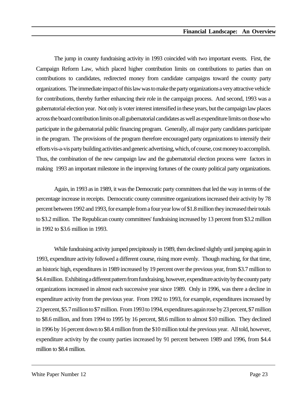The jump in county fundraising activity in 1993 coincided with two important events. First, the Campaign Reform Law, which placed higher contribution limits on contributions to parties than on contributions to candidates, redirected money from candidate campaigns toward the county party organizations. The immediate impact of this law was to make the party organizations a very attractive vehicle for contributions, thereby further enhancing their role in the campaign process. And second, 1993 was a gubernatorial election year. Not only is voter interest intensified in these years, but the campaign law places across the board contribution limits on all gubernatorial candidates as well as expenditure limits on those who participate in the gubernatorial public financing program. Generally, all major party candidates participate in the program. The provisions of the program therefore encouraged party organizations to intensify their efforts vis-a-vis party building activities and generic advertising, which, of course, cost money to accomplish. Thus, the combination of the new campaign law and the gubernatorial election process were factors in making 1993 an important milestone in the improving fortunes of the county political party organizations.

Again, in 1993 as in 1989, it was the Democratic party committees that led the way in terms of the percentage increase in receipts. Democratic county committee organizations increased their activity by 78 percent between 1992 and 1993, for example from a four year low of \$1.8 million they increased their totals to \$3.2 million. The Republican county committees' fundraising increased by 13 percent from \$3.2 million in 1992 to \$3.6 million in 1993.

While fundraising activity jumped precipitously in 1989, then declined slightly until jumping again in 1993, expenditure activity followed a different course, rising more evenly. Though reaching, for that time, an historic high, expenditures in 1989 increased by 19 percent over the previous year, from \$3.7 million to \$4.4 million. Exhibiting a different pattern from fundraising, however, expenditure activity by the county party organizations increased in almost each successive year since 1989. Only in 1996, was there a decline in expenditure activity from the previous year. From 1992 to 1993, for example, expenditures increased by 23 percent, \$5.7 million to \$7 million. From 1993 to 1994, expenditures again rose by 23 percent, \$7 million to \$8.6 million, and from 1994 to 1995 by 16 percent, \$8.6 million to almost \$10 million. They declined in 1996 by 16 percent down to \$8.4 million from the \$10 million total the previous year. All told, however, expenditure activity by the county parties increased by 91 percent between 1989 and 1996, from \$4.4 million to \$8.4 million.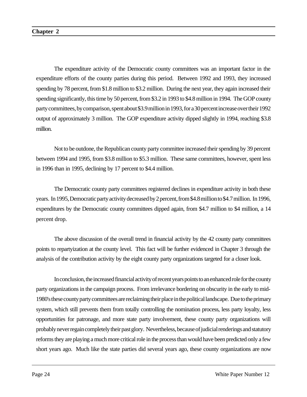The expenditure activity of the Democratic county committees was an important factor in the expenditure efforts of the county parties during this period. Between 1992 and 1993, they increased spending by 78 percent, from \$1.8 million to \$3.2 million. During the next year, they again increased their spending significantly, this time by 50 percent, from \$3.2 in 1993 to \$4.8 million in 1994. The GOP county party committees, by comparison, spent about \$3.9 million in 1993, for a 30 percent increase over their 1992 output of approximately 3 million. The GOP expenditure activity dipped slightly in 1994, reaching \$3.8 million.

Not to be outdone, the Republican county party committee increased their spending by 39 percent between 1994 and 1995, from \$3.8 million to \$5.3 million. These same committees, however, spent less in 1996 than in 1995, declining by 17 percent to \$4.4 million.

The Democratic county party committees registered declines in expenditure activity in both these years. In 1995, Democratic party activity decreased by 2 percent, from \$4.8 million to \$4.7 million. In 1996, expenditures by the Democratic county committees dipped again, from \$4.7 million to \$4 million, a 14 percent drop.

The above discussion of the overall trend in financial activity by the 42 county party committees points to repartyization at the county level. This fact will be further evidenced in Chapter 3 through the analysis of the contribution activity by the eight county party organizations targeted for a closer look.

In conclusion, the increased financial activity of recent years points to an enhanced role for the county party organizations in the campaign process. From irrelevance bordering on obscurity in the early to mid-1980's these county party committees are reclaiming their place in the political landscape. Due to the primary system, which still prevents them from totally controlling the nomination process, less party loyalty, less opportunities for patronage, and more state party involvement, these county party organizations will probably never regain completely their past glory. Nevertheless, because of judicial renderings and statutory reforms they are playing a much more critical role in the process than would have been predicted only a few short years ago. Much like the state parties did several years ago, these county organizations are now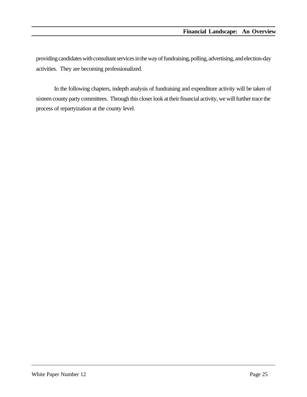providing candidates with consultant services in the way of fundraising, polling, advertising, and election-day activities. They are becoming professionalized.

In the following chapters, indepth analysis of fundraising and expenditure activity will be taken of sixteen county party committees. Through this closer look at their financial activity, we will further trace the process of repartyization at the county level.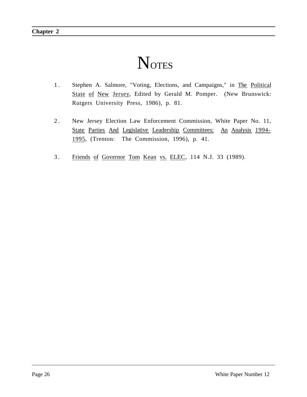# **NOTES**

- 1. Stephen A. Salmore, "Voting, Elections, and Campaigns," in The Political State of New Jersey, Edited by Gerald M. Pomper. (New Brunswick: Rutgers University Press, 1986), p. 81.
- 2 . New Jersey Election Law Enforcement Commission, White Paper No. 11, State Parties And Legislative Leadership Committees: An Analysis 1994- 1995, (Trenton: The Commission, 1996), p. 41.
- 3. Friends of Governor Tom Kean vs. ELEC, 114 N.J. 33 (1989).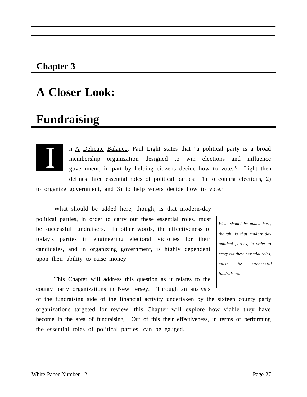#### **Chapter 3**

### **A Closer Look:**

### **Fundraising**



n A Delicate Balance, Paul Light states that "a political party is a broad membership organization designed to win elections and influence government, in part by helping citizens decide how to vote." Light then defines three essential roles of political parties: 1) to contest elections, 2) to organize government, and 3) to help voters decide how to vote.<sup>2</sup>

What should be added here, though, is that modern-day political parties, in order to carry out these essential roles, must be successful fundraisers. In other words, the effectiveness of today's parties in engineering electoral victories for their candidates, and in organizing government, is highly dependent upon their ability to raise money.

*What should be added here, though, is that modern-day political parties, in order to carry out these essential roles, must be successful fundraisers.*

This Chapter will address this question as it relates to the county party organizations in New Jersey. Through an analysis

of the fundraising side of the financial activity undertaken by the sixteen county party organizations targeted for review, this Chapter will explore how viable they have become in the area of fundraising. Out of this their effectiveness, in terms of performing the essential roles of political parties, can be gauged.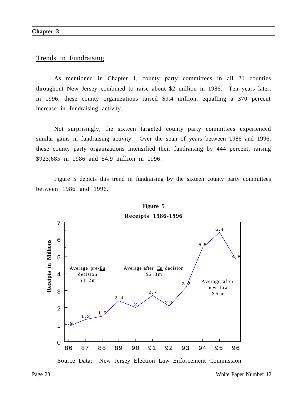#### Trends in Fundraising

As mentioned in Chapter 1, county party committees in all 21 counties throughout New Jersey combined to raise about \$2 million in 1986. Ten years later, in 1996, these county organizations raised \$9.4 million, equalling a 370 percent increase in fundraising activity.

Not surprisingly, the sixteen targeted county party committees experienced similar gains in fundraising activity. Over the span of years between 1986 and 1996, these county party organizations intensified their fundraising by 444 percent, raising \$923,685 in 1986 and \$4.9 million in 1996.

Figure 5 depicts this trend in fundraising by the sixteen county party committees between 1986 and 1996.



**Figure 5 Receipts 1986-1996**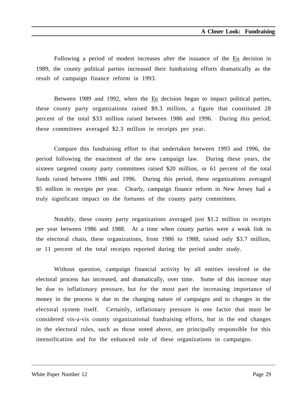Following a period of modest increases after the issuance of the Eu decision in 1989, the county political parties increased their fundraising efforts dramatically as the result of campaign finance reform in 1993.

Between 1989 and 1992, when the Eu decision began to impact political parties, these county party organizations raised \$9.3 million, a figure that constituted 28 percent of the total \$33 million raised between 1986 and 1996. During this period, these committees averaged \$2.3 million in receipts per year.

Compare this fundraising effort to that undertaken between 1993 and 1996, the period following the enactment of the new campaign law. During these years, the sixteen targeted county party committees raised \$20 million, or 61 percent of the total funds raised between 1986 and 1996. During this period, these organizations averaged \$5 million in receipts per year. Clearly, campaign finance reform in New Jersey had a truly significant impact on the fortunes of the county party committees.

Notably, these county party organizations averaged just \$1.2 million in receipts per year between 1986 and 1988. At a time when county parties were a weak link in the electoral chain, these organizations, from 1986 to 1988, raised only \$3.7 million, or 11 percent of the total receipts reported during the period under study.

Without question, campaign financial activity by all entities involved in the electoral process has increased, and dramatically, over time. Some of this increase may be due to inflationary pressure, but for the most part the increasing importance of money in the process is due to the changing nature of campaigns and to changes in the electoral system itself. Certainly, inflationary pressure is one factor that must be considered vis-a-vis county organizational fundraising efforts, but in the end changes in the electoral rules, such as those noted above, are principally responsible for this intensification and for the enhanced role of these organizations in campaigns.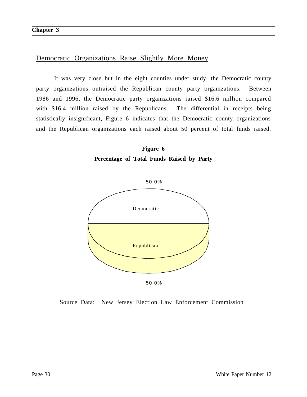#### Democratic Organizations Raise Slightly More Money

It was very close but in the eight counties under study, the Democratic county party organizations outraised the Republican county party organizations. Between 1986 and 1996, the Democratic party organizations raised \$16.6 million compared with \$16.4 million raised by the Republicans. The differential in receipts being statistically insignificant, Figure 6 indicates that the Democratic county organizations and the Republican organizations each raised about 50 percent of total funds raised.





Source Data: New Jersey Election Law Enforcement Commission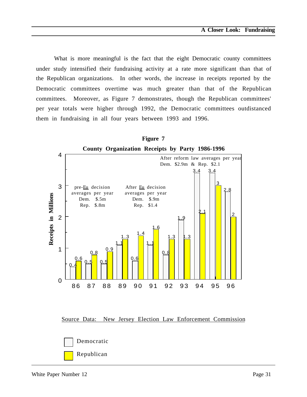What is more meaningful is the fact that the eight Democratic county committees under study intensified their fundraising activity at a rate more significant than that of the Republican organizations. In other words, the increase in receipts reported by the Democratic committees overtime was much greater than that of the Republican committees. Moreover, as Figure 7 demonstrates, though the Republican committees' per year totals were higher through 1992, the Democratic committees outdistanced them in fundraising in all four years between 1993 and 1996.



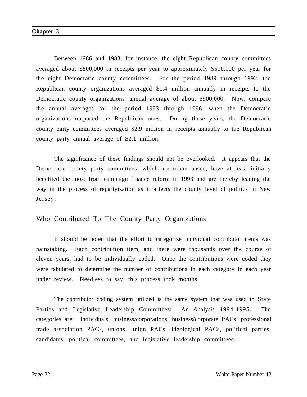Between 1986 and 1988, for instance, the eight Republican county committees averaged about \$800,000 in receipts per year to approximately \$500,000 per year for the eight Democratic county committees. For the period 1989 through 1992, the Republican county organizations averaged \$1.4 million annually in receipts to the Democratic county organizations' annual average of about \$900,000. Now, compare the annual averages for the period 1993 through 1996, when the Democratic organizations outpaced the Republican ones. During these years, the Democratic county party committees averaged \$2.9 million in receipts annually to the Republican county party annual average of \$2.1 million.

The significance of these findings should not be overlooked. It appears that the Democratic county party committees, which are urban based, have at least initially benefited the most from campaign finance reform in 1993 and are thereby leading the way in the process of repartyization as it affects the county level of politics in New Jersey.

#### Who Contributed To The County Party Organizations

It should be noted that the effort to categorize individual contributor items was painstaking. Each contribution item, and there were thousands over the course of eleven years, had to be individually coded. Once the contributions were coded they were tabulated to determine the number of contributions in each category in each year under review. Needless to say, this process took months.

The contributor coding system utilized is the same system that was used in State Parties and Legislative Leadership Committees: An Analysis 1994-1995. The categories are: individuals, business/corporations, business/corporate PACs, professional trade association PACs, unions, union PACs, ideological PACs, political parties, candidates, political committees, and legislative leadership committees.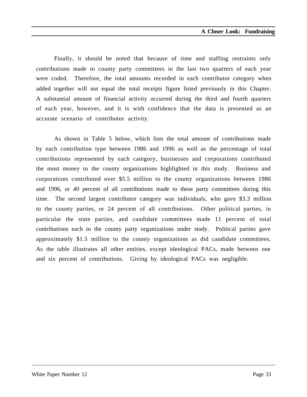Finally, it should be noted that because of time and staffing restraints only contributions made to county party committees in the last two quarters of each year were coded. Therefore, the total amounts recorded in each contributor category when added together will not equal the total receipts figure listed previously in this Chapter. A substantial amount of financial activity occurred during the third and fourth quarters of each year, however, and it is with confidence that the data is presented as an accurate scenario of contributor activity.

As shown in Table 5 below, which lists the total amount of contributions made by each contribution type between 1986 and 1996 as well as the percentage of total contributions represented by each category, businesses and corporations contributed the most money to the county organizations highlighted in this study. Business and corporations contributed over \$5.5 million to the county organizations between 1986 and 1996, or 40 percent of all contributions made to these party committees during this time. The second largest contributor category was individuals, who gave \$3.3 million to the county parties, or 24 percent of all contributions. Other political parties, in particular the state parties, and candidate committees made 11 percent of total contributions each to the county party organizations under study. Political parties gave approximately \$1.5 million to the county organizations as did candidate committees. As the table illustrates all other entities, except ideological PACs, made between one and six percent of contributions. Giving by ideological PACs was negligible.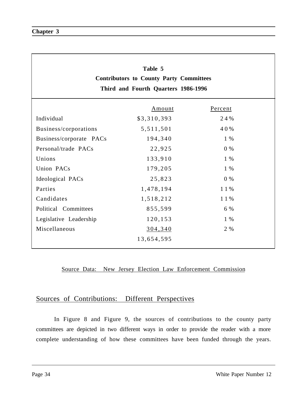| Table 5<br><b>Contributors to County Party Committees</b><br>Third and Fourth Quarters 1986-1996 |             |         |  |  |  |
|--------------------------------------------------------------------------------------------------|-------------|---------|--|--|--|
|                                                                                                  | Amount      | Percent |  |  |  |
| Individual                                                                                       | \$3,310,393 | 24%     |  |  |  |
| Business/corporations                                                                            | 5,511,501   | 40%     |  |  |  |
| Business/corporate PACs                                                                          | 194,340     | 1 %     |  |  |  |
| Personal/trade PACs                                                                              | 22,925      | $0\%$   |  |  |  |
| Unions                                                                                           | 133,910     | 1 %     |  |  |  |
| Union PACs                                                                                       | 179,205     | 1 %     |  |  |  |
| Ideological PACs                                                                                 | 25,823      | $0\%$   |  |  |  |
| Parties                                                                                          | 1,478,194   | 11%     |  |  |  |
| Candidates                                                                                       | 1,518,212   | 11%     |  |  |  |
| Political Committees                                                                             | 855,599     | 6 %     |  |  |  |
| Legislative Leadership                                                                           | 120,153     | $1\%$   |  |  |  |
| Miscellaneous                                                                                    | 304,340     | 2 %     |  |  |  |
|                                                                                                  | 13,654,595  |         |  |  |  |

### Sources of Contributions: Different Perspectives

In Figure 8 and Figure 9, the sources of contributions to the county party committees are depicted in two different ways in order to provide the reader with a more complete understanding of how these committees have been funded through the years.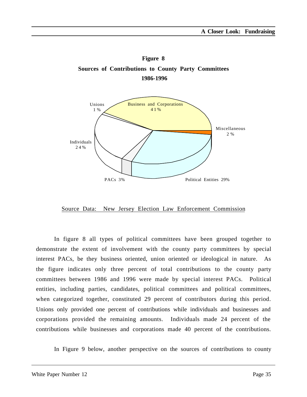



In figure 8 all types of political committees have been grouped together to demonstrate the extent of involvement with the county party committees by special interest PACs, be they business oriented, union oriented or ideological in nature. As the figure indicates only three percent of total contributions to the county party committees between 1986 and 1996 were made by special interest PACs. Political entities, including parties, candidates, political committees and political committees, when categorized together, constituted 29 percent of contributors during this period. Unions only provided one percent of contributions while individuals and businesses and corporations provided the remaining amounts. Individuals made 24 percent of the contributions while businesses and corporations made 40 percent of the contributions.

In Figure 9 below, another perspective on the sources of contributions to county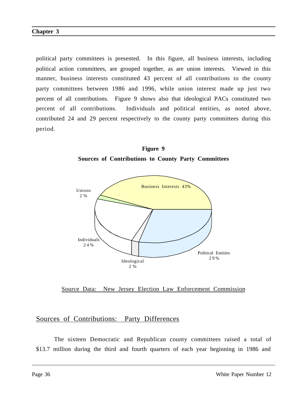political party committees is presented. In this figure, all business interests, including political action committees, are grouped together, as are union interests. Viewed in this manner, business interests constituted 43 percent of all contributions to the county party committees between 1986 and 1996, while union interest made up just two percent of all contributions. Figure 9 shows also that ideological PACs constituted two percent of all contributions. Individuals and political entities, as noted above, contributed 24 and 29 percent respectively to the county party committees during this period.

**Figure 9 Sources of Contributions to County Party Committees**



Source Data: New Jersey Election Law Enforcement Commission

#### Sources of Contributions: Party Differences

The sixteen Democratic and Republican county committees raised a total of \$13.7 million during the third and fourth quarters of each year beginning in 1986 and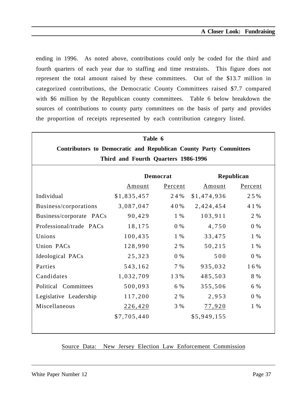ending in 1996. As noted above, contributions could only be coded for the third and fourth quarters of each year due to staffing and time restraints. This figure does not represent the total amount raised by these committees. Out of the \$13.7 million in categorized contributions, the Democratic County Committees raised \$7.7 compared with \$6 million by the Republican county committees. Table 6 below breakdown the sources of contributions to county party committees on the basis of party and provides the proportion of receipts represented by each contribution category listed.

| Table 6                                                                  |                   |                 |             |         |  |
|--------------------------------------------------------------------------|-------------------|-----------------|-------------|---------|--|
| <b>Contributors to Democratic and Republican County Party Committees</b> |                   |                 |             |         |  |
| Third and Fourth Quarters 1986-1996                                      |                   |                 |             |         |  |
|                                                                          |                   | <b>Democrat</b> | Republican  |         |  |
|                                                                          | Percent<br>Amount |                 | Amount      | Percent |  |
| Individual                                                               | \$1,835,457       | 24 %            | \$1,474,936 | 25%     |  |
| Business/corporations                                                    | 3,087,047         | 40%             | 2,424,454   | 4 1 %   |  |
| Business/corporate PACs                                                  | 90,429            | 1 %             | 103,911     | 2 %     |  |
| Professional/trade PACs                                                  | 18,175            | $0\%$           | 4,750       | $0\%$   |  |
| Unions                                                                   | 100,435           | 1 %             | 33,475      | 1 %     |  |
| Union PACs                                                               | 128,990           | 2 %             | 50,215      | $1\%$   |  |
| Ideological PACs                                                         | 25,323            | $0\%$           | 500         |         |  |
| Parties                                                                  | 543,162           | 7%              | 935,032     | 16%     |  |
| Candidates                                                               | 1,032,709         | 13%             | 485,503     | 8 %     |  |
| Political Committees                                                     | 500,093           | 6 %             | 355,506     | 6 %     |  |
| Legislative Leadership                                                   | 117,200           | 2 %             | 2,953       | $0\%$   |  |
| Miscellaneous                                                            | 226,420           | 3 %<br>77,920   |             | $1\%$   |  |
|                                                                          | \$7,705,440       |                 | \$5,949,155 |         |  |
|                                                                          |                   |                 |             |         |  |

#### Source Data: New Jersey Election Law Enforcement Commission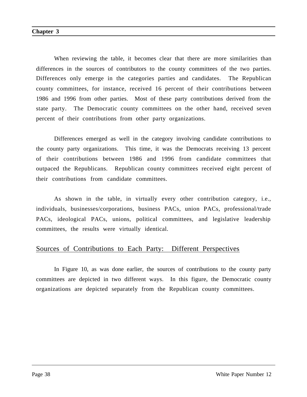When reviewing the table, it becomes clear that there are more similarities than differences in the sources of contributors to the county committees of the two parties. Differences only emerge in the categories parties and candidates. The Republican county committees, for instance, received 16 percent of their contributions between 1986 and 1996 from other parties. Most of these party contributions derived from the state party. The Democratic county committees on the other hand, received seven percent of their contributions from other party organizations.

Differences emerged as well in the category involving candidate contributions to the county party organizations. This time, it was the Democrats receiving 13 percent of their contributions between 1986 and 1996 from candidate committees that outpaced the Republicans. Republican county committees received eight percent of their contributions from candidate committees.

As shown in the table, in virtually every other contribution category, i.e., individuals, businesses/corporations, business PACs, union PACs, professional/trade PACs, ideological PACs, unions, political committees, and legislative leadership committees, the results were virtually identical.

#### Sources of Contributions to Each Party: Different Perspectives

In Figure 10, as was done earlier, the sources of contributions to the county party committees are depicted in two different ways. In this figure, the Democratic county organizations are depicted separately from the Republican county committees.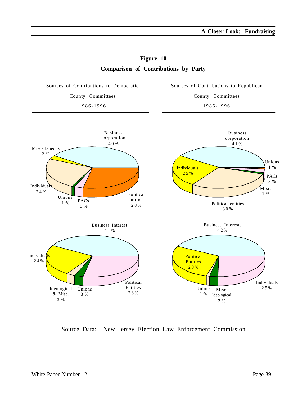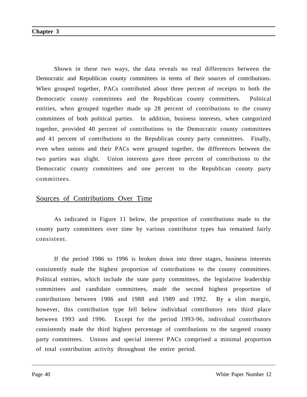Shown in these two ways, the data reveals no real differences between the Democratic and Republican county committees in terms of their sources of contributions. When grouped together, PACs contributed about three percent of receipts to both the Democratic county committees and the Republican county committees. Political entities, when grouped together made up 28 percent of contributions to the county committees of both political parties. In addition, business interests, when categorized together, provided 40 percent of contributions to the Democratic county committees and 41 percent of contributions to the Republican county party committees. Finally, even when unions and their PACs were grouped together, the differences between the two parties was slight. Union interests gave three percent of contributions to the Democratic county committees and one percent to the Republican county party committees.

#### Sources of Contributions Over Time

As indicated in Figure 11 below, the proportion of contributions made to the county party committees over time by various contributor types has remained fairly consistent.

If the period 1986 to 1996 is broken down into three stages, business interests consistently made the highest proportion of contributions to the county committees. Political entities, which include the state party committees, the legislative leadership committees and candidate committees, made the second highest proportion of contributions between 1986 and 1988 and 1989 and 1992. By a slim margin, however, this contribution type fell below individual contributors into third place between 1993 and 1996. Except for the period 1993-96, individual contributors consistently made the third highest percentage of contributions to the targeted county party committees. Unions and special interest PACs comprised a minimal proportion of total contribution activity throughout the entire period.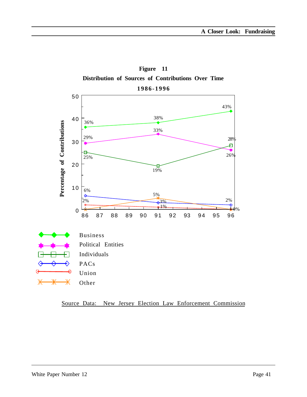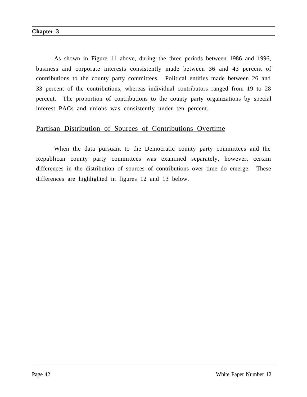As shown in Figure 11 above, during the three periods between 1986 and 1996, business and corporate interests consistently made between 36 and 43 percent of contributions to the county party committees. Political entities made between 26 and 33 percent of the contributions, whereas individual contributors ranged from 19 to 28 percent. The proportion of contributions to the county party organizations by special interest PACs and unions was consistently under ten percent.

#### Partisan Distribution of Sources of Contributions Overtime

When the data pursuant to the Democratic county party committees and the Republican county party committees was examined separately, however, certain differences in the distribution of sources of contributions over time do emerge. These differences are highlighted in figures 12 and 13 below.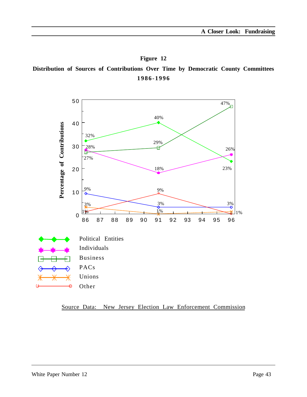**Figure 12 Distribution of Sources of Contributions Over Time by Democratic County Committees 1986-1996**

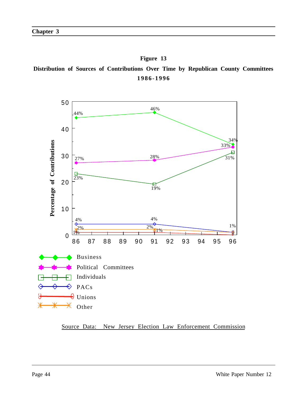**Figure 13 Distribution of Sources of Contributions Over Time by Republican County Committees 1986-1996**

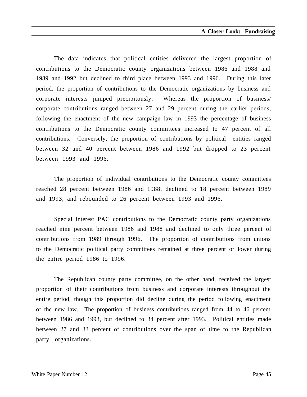The data indicates that political entities delivered the largest proportion of contributions to the Democratic county organizations between 1986 and 1988 and 1989 and 1992 but declined to third place between 1993 and 1996. During this later period, the proportion of contributions to the Democratic organizations by business and corporate interests jumped precipitously. Whereas the proportion of business/ corporate contributions ranged between 27 and 29 percent during the earlier periods, following the enactment of the new campaign law in 1993 the percentage of business contributions to the Democratic county committees increased to 47 percent of all contributions. Conversely, the proportion of contributions by political entities ranged between 32 and 40 percent between 1986 and 1992 but dropped to 23 percent between 1993 and 1996.

The proportion of individual contributions to the Democratic county committees reached 28 percent between 1986 and 1988, declined to 18 percent between 1989 and 1993, and rebounded to 26 percent between 1993 and 1996.

Special interest PAC contributions to the Democratic county party organizations reached nine percent between 1986 and 1988 and declined to only three percent of contributions from 1989 through 1996. The proportion of contributions from unions to the Democratic political party committees remained at three percent or lower during the entire period 1986 to 1996.

The Republican county party committee, on the other hand, received the largest proportion of their contributions from business and corporate interests throughout the entire period, though this proportion did decline during the period following enactment of the new law. The proportion of business contributions ranged from 44 to 46 percent between 1986 and 1993, but declined to 34 percent after 1993. Political entities made between 27 and 33 percent of contributions over the span of time to the Republican party organizations.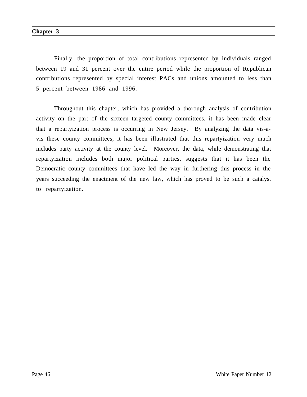Finally, the proportion of total contributions represented by individuals ranged between 19 and 31 percent over the entire period while the proportion of Republican contributions represented by special interest PACs and unions amounted to less than 5 percent between 1986 and 1996.

Throughout this chapter, which has provided a thorough analysis of contribution activity on the part of the sixteen targeted county committees, it has been made clear that a repartyization process is occurring in New Jersey. By analyzing the data vis-avis these county committees, it has been illustrated that this repartyization very much includes party activity at the county level. Moreover, the data, while demonstrating that repartyization includes both major political parties, suggests that it has been the Democratic county committees that have led the way in furthering this process in the years succeeding the enactment of the new law, which has proved to be such a catalyst to repartyization.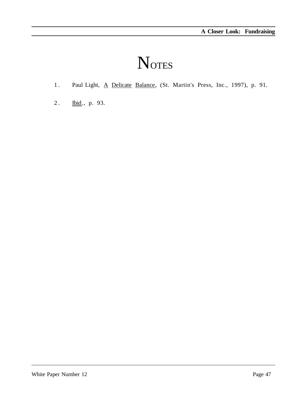# **NOTES**

- 1. Paul Light, A Delicate Balance, (St. Martin's Press, Inc., 1997), p. 91.
- 2. Ibid., p. 93.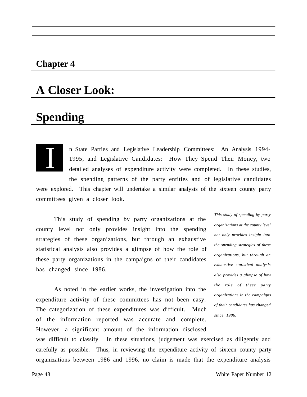### **Chapter 4**

## **A Closer Look:**

# **Spending**

I

n State Parties and Legislative Leadership Committees: An Analysis 1994- 1995, and Legislative Candidates: How They Spend Their Money, two detailed analyses of expenditure activity were completed. In these studies, the spending patterns of the party entities and of legislative candidates were explored. This chapter will undertake a similar analysis of the sixteen county party committees given a closer look.

This study of spending by party organizations at the county level not only provides insight into the spending strategies of these organizations, but through an exhaustive statistical analysis also provides a glimpse of how the role of these party organizations in the campaigns of their candidates has changed since 1986.

As noted in the earlier works, the investigation into the expenditure activity of these committees has not been easy. The categorization of these expenditures was difficult. Much of the information reported was accurate and complete. However, a significant amount of the information disclosed

*This study of spending by party organizations at the county level not only provides insight into the spending strategies of these organizations, but through an exhaustive statistical analysis also provides a glimpse of how the role of these party organizations in the campaigns of their candidates has changed since 1986.*

was difficult to classify. In these situations, judgement was exercised as diligently and carefully as possible. Thus, in reviewing the expenditure activity of sixteen county party organizations between 1986 and 1996, no claim is made that the expenditure analysis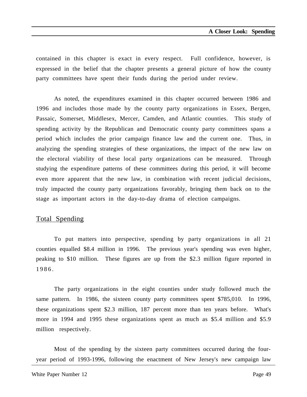contained in this chapter is exact in every respect. Full confidence, however, is expressed in the belief that the chapter presents a general picture of how the county party committees have spent their funds during the period under review.

As noted, the expenditures examined in this chapter occurred between 1986 and 1996 and includes those made by the county party organizations in Essex, Bergen, Passaic, Somerset, Middlesex, Mercer, Camden, and Atlantic counties. This study of spending activity by the Republican and Democratic county party committees spans a period which includes the prior campaign finance law and the current one. Thus, in analyzing the spending strategies of these organizations, the impact of the new law on the electoral viability of these local party organizations can be measured. Through studying the expenditure patterns of these committees during this period, it will become even more apparent that the new law, in combination with recent judicial decisions, truly impacted the county party organizations favorably, bringing them back on to the stage as important actors in the day-to-day drama of election campaigns.

#### Total Spending

To put matters into perspective, spending by party organizations in all 21 counties equalled \$8.4 million in 1996. The previous year's spending was even higher, peaking to \$10 million. These figures are up from the \$2.3 million figure reported in 1986.

The party organizations in the eight counties under study followed much the same pattern. In 1986, the sixteen county party committees spent \$785,010. In 1996, these organizations spent \$2.3 million, 187 percent more than ten years before. What's more in 1994 and 1995 these organizations spent as much as \$5.4 million and \$5.9 million respectively.

Most of the spending by the sixteen party committees occurred during the fouryear period of 1993-1996, following the enactment of New Jersey's new campaign law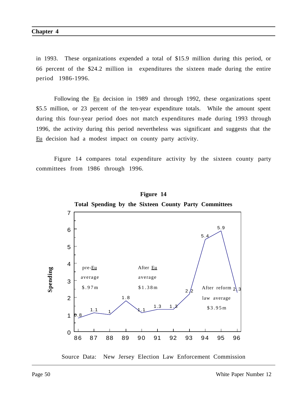in 1993. These organizations expended a total of \$15.9 million during this period, or 66 percent of the \$24.2 million in expenditures the sixteen made during the entire period 1986-1996.

Following the Eu decision in 1989 and through 1992, these organizations spent \$5.5 million, or 23 percent of the ten-year expenditure totals. While the amount spent during this four-year period does not match expenditures made during 1993 through 1996, the activity during this period nevertheless was significant and suggests that the Eu decision had a modest impact on county party activity.

Figure 14 compares total expenditure activity by the sixteen county party committees from 1986 through 1996.



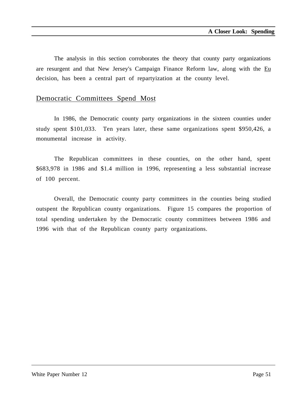The analysis in this section corroborates the theory that county party organizations are resurgent and that New Jersey's Campaign Finance Reform law, along with the Eu decision, has been a central part of repartyization at the county level.

#### Democratic Committees Spend Most

In 1986, the Democratic county party organizations in the sixteen counties under study spent \$101,033. Ten years later, these same organizations spent \$950,426, a monumental increase in activity.

The Republican committees in these counties, on the other hand, spent \$683,978 in 1986 and \$1.4 million in 1996, representing a less substantial increase of 100 percent.

Overall, the Democratic county party committees in the counties being studied outspent the Republican county organizations. Figure 15 compares the proportion of total spending undertaken by the Democratic county committees between 1986 and 1996 with that of the Republican county party organizations.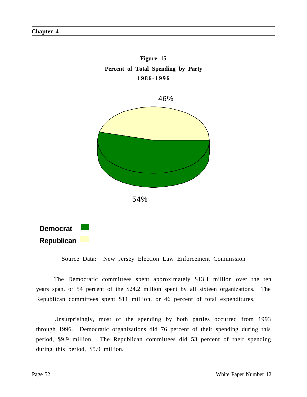



The Democratic committees spent approximately \$13.1 million over the ten years span, or 54 percent of the \$24.2 million spent by all sixteen organizations. The Republican committees spent \$11 million, or 46 percent of total expenditures.

Unsurprisingly, most of the spending by both parties occurred from 1993 through 1996. Democratic organizations did 76 percent of their spending during this period, \$9.9 million. The Republican committees did 53 percent of their spending during this period, \$5.9 million.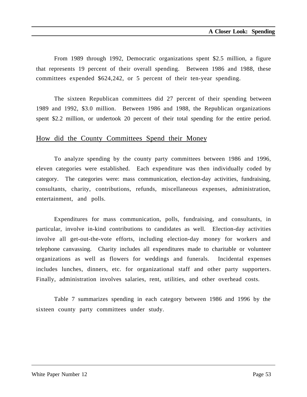From 1989 through 1992, Democratic organizations spent \$2.5 million, a figure that represents 19 percent of their overall spending. Between 1986 and 1988, these committees expended \$624,242, or 5 percent of their ten-year spending.

The sixteen Republican committees did 27 percent of their spending between 1989 and 1992, \$3.0 million. Between 1986 and 1988, the Republican organizations spent \$2.2 million, or undertook 20 percent of their total spending for the entire period.

#### How did the County Committees Spend their Money

To analyze spending by the county party committees between 1986 and 1996, eleven categories were established. Each expenditure was then individually coded by category. The categories were: mass communication, election-day activities, fundraising, consultants, charity, contributions, refunds, miscellaneous expenses, administration, entertainment, and polls.

Expenditures for mass communication, polls, fundraising, and consultants, in particular, involve in-kind contributions to candidates as well. Election-day activities involve all get-out-the-vote efforts, including election-day money for workers and telephone canvassing. Charity includes all expenditures made to charitable or volunteer organizations as well as flowers for weddings and funerals. Incidental expenses includes lunches, dinners, etc. for organizational staff and other party supporters. Finally, administration involves salaries, rent, utilities, and other overhead costs.

Table 7 summarizes spending in each category between 1986 and 1996 by the sixteen county party committees under study.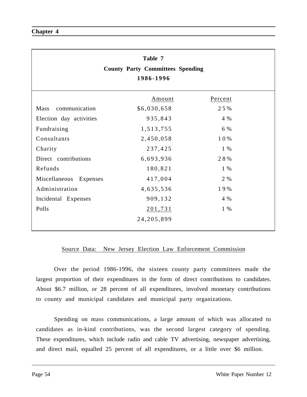| Table 7<br><b>County Party Committees Spending</b><br>1986-1996 |              |         |  |  |  |  |
|-----------------------------------------------------------------|--------------|---------|--|--|--|--|
|                                                                 | Amount       | Percent |  |  |  |  |
| Mass<br>communication                                           | \$6,030,658  | 25%     |  |  |  |  |
| Election day activities                                         | 935,843      | 4 %     |  |  |  |  |
| Fundraising                                                     | 1,513,755    | 6 %     |  |  |  |  |
| Consultants                                                     | 2,450,058    | 10%     |  |  |  |  |
| Charity                                                         | 237,425      | 1 %     |  |  |  |  |
| Direct contributions                                            | 6,693,936    | 28%     |  |  |  |  |
| Refunds                                                         | 180,821      | 1 %     |  |  |  |  |
| Miscellaneous<br>Expenses                                       | 417,004      | 2 %     |  |  |  |  |
| Administration                                                  | 4,635,536    | 19%     |  |  |  |  |
| Incidental Expenses                                             | 909,132      | 4 %     |  |  |  |  |
| Polls                                                           | 201,731      | 1 %     |  |  |  |  |
|                                                                 | 24, 205, 899 |         |  |  |  |  |

Over the period 1986-1996, the sixteen county party committees made the largest proportion of their expenditures in the form of direct contributions to candidates. About \$6.7 million, or 28 percent of all expenditures, involved monetary contributions to county and municipal candidates and municipal party organizations.

Spending on mass communications, a large amount of which was allocated to candidates as in-kind contributions, was the second largest category of spending. These expenditures, which include radio and cable TV advertising, newspaper advertising, and direct mail, equalled 25 percent of all expenditures, or a little over \$6 million.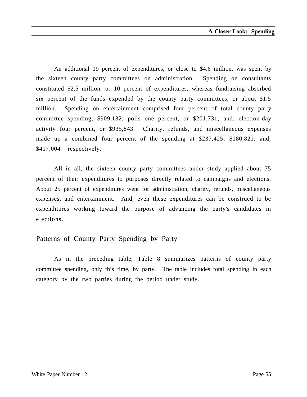An additional 19 percent of expenditures, or close to \$4.6 million, was spent by the sixteen county party committees on administration. Spending on consultants constituted \$2.5 million, or 10 percent of expenditures, whereas fundraising absorbed six percent of the funds expended by the county party committees, or about \$1.5 million. Spending on entertainment comprised four percent of total county party committee spending, \$909,132; polls one percent, or \$201,731; and, election-day activity four percent, or \$935,843. Charity, refunds, and miscellaneous expenses made up a combined four percent of the spending at \$237,425; \$180,821; and, \$417,004 respectively.

All in all, the sixteen county party committees under study applied about 75 percent of their expenditures to purposes directly related to campaigns and elections. About 25 percent of expenditures went for administration, charity, refunds, miscellaneous expenses, and entertainment. And, even these expenditures can be construed to be expenditures working toward the purpose of advancing the party's candidates in elections.

### Patterns of County Party Spending by Party

As in the preceding table, Table 8 summarizes patterns of county party committee spending, only this time, by party. The table includes total spending in each category by the two parties during the period under study.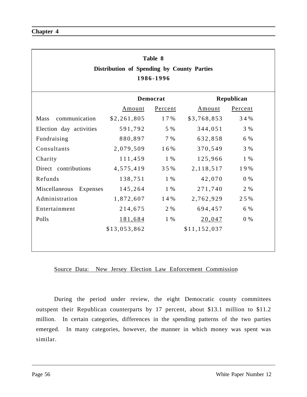| Table 8<br>Distribution of Spending by County Parties<br>1986-1996 |              |                 |              |            |  |
|--------------------------------------------------------------------|--------------|-----------------|--------------|------------|--|
|                                                                    |              | <b>Democrat</b> |              | Republican |  |
|                                                                    | Amount       | Percent         |              | Percent    |  |
| Mass<br>communication                                              | \$2,261,805  | 17%             | \$3,768,853  | 34%        |  |
| Election day activities                                            | 591,792      | 5 %             | 344,051      | 3 %        |  |
| Fundraising                                                        | 880,897      | 7 %             | 632,858      | 6 %        |  |
| Consultants                                                        | 2,079,509    | 16%             | 370,549      | 3 %        |  |
| Charity                                                            | 111,459      | 1 %             | 125,966      | $1\%$      |  |
| Direct contributions                                               | 4,575,419    | 35%             | 2, 118, 517  | 19%        |  |
| Refunds                                                            | 138,751      | $1\%$           | 42,070       | $0\%$      |  |
| Miscellaneous<br>Expenses                                          | 145,264      | $1\%$           | 271,740      | 2 %        |  |
| Administration                                                     | 1,872,607    | 14%             | 2,762,929    | 25%        |  |
| Entertainment                                                      | 214,675      | 2 %             | 694,457      | 6 %        |  |
| Polls                                                              | 181,684      | 1 %             | 20,047       | $0\%$      |  |
|                                                                    | \$13,053,862 |                 | \$11,152,037 |            |  |
|                                                                    |              |                 |              |            |  |

During the period under review, the eight Democratic county committees outspent their Republican counterparts by 17 percent, about \$13.1 million to \$11.2 million. In certain categories, differences in the spending patterns of the two parties emerged. In many categories, however, the manner in which money was spent was similar.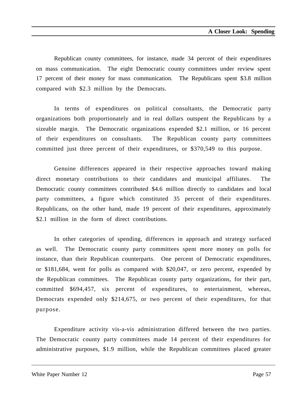Republican county committees, for instance, made 34 percent of their expenditures on mass communication. The eight Democratic county committees under review spent 17 percent of their money for mass communication. The Republicans spent \$3.8 million compared with \$2.3 million by the Democrats.

In terms of expenditures on political consultants, the Democratic party organizations both proportionately and in real dollars outspent the Republicans by a sizeable margin. The Democratic organizations expended \$2.1 million, or 16 percent of their expenditures on consultants. The Republican county party committees committed just three percent of their expenditures, or \$370,549 to this purpose.

Genuine differences appeared in their respective approaches toward making direct monetary contributions to their candidates and municipal affiliates. The Democratic county committees contributed \$4.6 million directly to candidates and local party committees, a figure which constituted 35 percent of their expenditures. Republicans, on the other hand, made 19 percent of their expenditures, approximately \$2.1 million in the form of direct contributions.

In other categories of spending, differences in approach and strategy surfaced as well. The Democratic county party committees spent more money on polls for instance, than their Republican counterparts. One percent of Democratic expenditures, or \$181,684, went for polls as compared with \$20,047, or zero percent, expended by the Republican committees. The Republican county party organizations, for their part, committed \$694,457, six percent of expenditures, to entertainment, whereas, Democrats expended only \$214,675, or two percent of their expenditures, for that purpose.

Expenditure activity vis-a-vis administration differed between the two parties. The Democratic county party committees made 14 percent of their expenditures for administrative purposes, \$1.9 million, while the Republican committees placed greater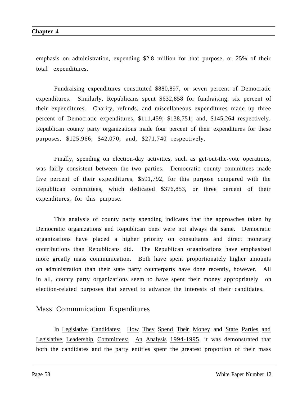emphasis on administration, expending \$2.8 million for that purpose, or 25% of their total expenditures.

Fundraising expenditures constituted \$880,897, or seven percent of Democratic expenditures. Similarly, Republicans spent \$632,858 for fundraising, six percent of their expenditures. Charity, refunds, and miscellaneous expenditures made up three percent of Democratic expenditures, \$111,459; \$138,751; and, \$145,264 respectively. Republican county party organizations made four percent of their expenditures for these purposes, \$125,966; \$42,070; and, \$271,740 respectively.

Finally, spending on election-day activities, such as get-out-the-vote operations, was fairly consistent between the two parties. Democratic county committees made five percent of their expenditures, \$591,792, for this purpose compared with the Republican committees, which dedicated \$376,853, or three percent of their expenditures, for this purpose.

This analysis of county party spending indicates that the approaches taken by Democratic organizations and Republican ones were not always the same. Democratic organizations have placed a higher priority on consultants and direct monetary contributions than Republicans did. The Republican organizations have emphasized more greatly mass communication. Both have spent proportionately higher amounts on administration than their state party counterparts have done recently, however. All in all, county party organizations seem to have spent their money appropriately on election-related purposes that served to advance the interests of their candidates.

#### Mass Communication Expenditures

In Legislative Candidates: How They Spend Their Money and State Parties and Legislative Leadership Committees: An Analysis 1994-1995, it was demonstrated that both the candidates and the party entities spent the greatest proportion of their mass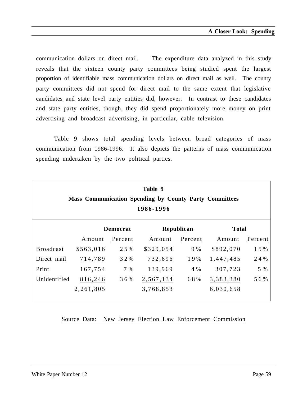communication dollars on direct mail. The expenditure data analyzed in this study reveals that the sixteen county party committees being studied spent the largest proportion of identifiable mass communication dollars on direct mail as well. The county party committees did not spend for direct mail to the same extent that legislative candidates and state level party entities did, however. In contrast to these candidates and state party entities, though, they did spend proportionately more money on print advertising and broadcast advertising, in particular, cable television.

Table 9 shows total spending levels between broad categories of mass communication from 1986-1996. It also depicts the patterns of mass communication spending undertaken by the two political parties.

| Table 9<br><b>Mass Communication Spending by County Party Committees</b><br>1986-1996 |           |                 |           |            |              |         |  |
|---------------------------------------------------------------------------------------|-----------|-----------------|-----------|------------|--------------|---------|--|
|                                                                                       |           | <b>Democrat</b> |           | Republican | <b>Total</b> |         |  |
|                                                                                       | Amount    | Percent         | Amount    | Percent    | Amount       | Percent |  |
| <b>Broadcast</b>                                                                      | \$563,016 | 25%             | \$329,054 | 9 %        | \$892,070    | 15%     |  |
| Direct mail                                                                           | 714,789   | 32%             | 732,696   | 19%        | 1,447,485    | 24 %    |  |
| Print                                                                                 | 167,754   | 7 %             | 139,969   | 4 %        | 307,723      | 5 %     |  |
| Unidentified                                                                          | 816,246   | 36%             | 2,567,134 | 68%        | 3,383,380    | 56%     |  |
|                                                                                       | 2,261,805 |                 | 3,768,853 |            | 6,030,658    |         |  |

Source Data: New Jersey Election Law Enforcement Commission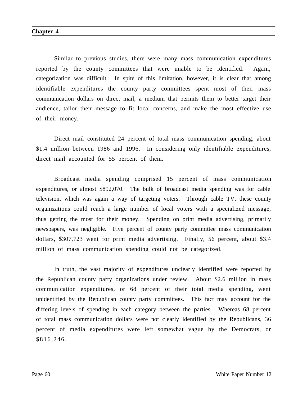Similar to previous studies, there were many mass communication expenditures reported by the county committees that were unable to be identified. Again, categorization was difficult. In spite of this limitation, however, it is clear that among identifiable expenditures the county party committees spent most of their mass communication dollars on direct mail, a medium that permits them to better target their audience, tailor their message to fit local concerns, and make the most effective use of their money.

Direct mail constituted 24 percent of total mass communication spending, about \$1.4 million between 1986 and 1996. In considering only identifiable expenditures, direct mail accounted for 55 percent of them.

Broadcast media spending comprised 15 percent of mass communication expenditures, or almost \$892,070. The bulk of broadcast media spending was for cable television, which was again a way of targeting voters. Through cable TV, these county organizations could reach a large number of local voters with a specialized message, thus getting the most for their money. Spending on print media advertising, primarily newspapers, was negligible. Five percent of county party committee mass communication dollars, \$307,723 went for print media advertising. Finally, 56 percent, about \$3.4 million of mass communication spending could not be categorized.

In truth, the vast majority of expenditures unclearly identified were reported by the Republican county party organizations under review. About \$2.6 million in mass communication expenditures, or 68 percent of their total media spending, went unidentified by the Republican county party committees. This fact may account for the differing levels of spending in each category between the parties. Whereas 68 percent of total mass communication dollars were not clearly identified by the Republicans, 36 percent of media expenditures were left somewhat vague by the Democrats, or \$816,246.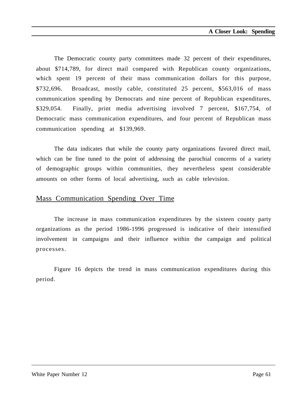The Democratic county party committees made 32 percent of their expenditures, about \$714,789, for direct mail compared with Republican county organizations, which spent 19 percent of their mass communication dollars for this purpose, \$732,696. Broadcast, mostly cable, constituted 25 percent, \$563,016 of mass communication spending by Democrats and nine percent of Republican expenditures, \$329,054. Finally, print media advertising involved 7 percent, \$167,754, of Democratic mass communication expenditures, and four percent of Republican mass communication spending at \$139,969.

The data indicates that while the county party organizations favored direct mail, which can be fine tuned to the point of addressing the parochial concerns of a variety of demographic groups within communities, they nevertheless spent considerable amounts on other forms of local advertising, such as cable television.

#### Mass Communication Spending Over Time

The increase in mass communication expenditures by the sixteen county party organizations as the period 1986-1996 progressed is indicative of their intensified involvement in campaigns and their influence within the campaign and political processes.

Figure 16 depicts the trend in mass communication expenditures during this period.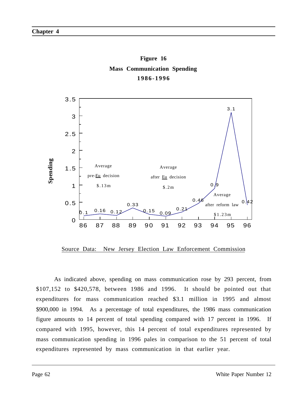



Source Data: New Jersey Election Law Enforcement Commission

As indicated above, spending on mass communication rose by 293 percent, from \$107,152 to \$420,578, between 1986 and 1996. It should be pointed out that expenditures for mass communication reached \$3.1 million in 1995 and almost \$900,000 in 1994. As a percentage of total expenditures, the 1986 mass communication figure amounts to 14 percent of total spending compared with 17 percent in 1996. If compared with 1995, however, this 14 percent of total expenditures represented by mass communication spending in 1996 pales in comparison to the 51 percent of total expenditures represented by mass communication in that earlier year.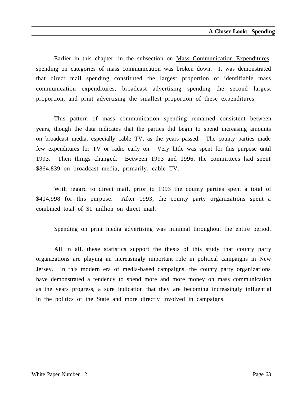Earlier in this chapter, in the subsection on Mass Communication Expenditures, spending on categories of mass communication was broken down. It was demonstrated that direct mail spending constituted the largest proportion of identifiable mass communication expenditures, broadcast advertising spending the second largest proportion, and print advertising the smallest proportion of these expenditures.

This pattern of mass communication spending remained consistent between years, though the data indicates that the parties did begin to spend increasing amounts on broadcast media, especially cable TV, as the years passed. The county parties made few expenditures for TV or radio early on. Very little was spent for this purpose until 1993. Then things changed. Between 1993 and 1996, the committees had spent \$864,839 on broadcast media, primarily, cable TV.

With regard to direct mail, prior to 1993 the county parties spent a total of \$414,998 for this purpose. After 1993, the county party organizations spent a combined total of \$1 million on direct mail.

Spending on print media advertising was minimal throughout the entire period.

All in all, these statistics support the thesis of this study that county party organizations are playing an increasingly important role in political campaigns in New Jersey. In this modern era of media-based campaigns, the county party organizations have demonstrated a tendency to spend more and more money on mass communication as the years progress, a sure indication that they are becoming increasingly influential in the politics of the State and more directly involved in campaigns.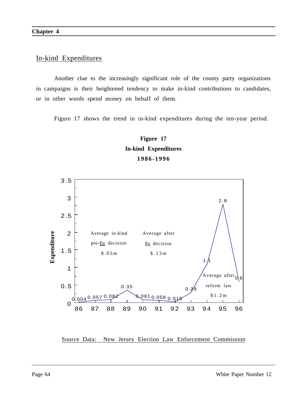#### In-kind Expenditures

Another clue to the increasingly significant role of the county party organizations in campaigns is their heightened tendency to make in-kind contributions to candidates, or in other words spend money on behalf of them.

Figure 17 shows the trend in in-kind expenditures during the ten-year period.

### **Figure 17 In-kind Expenditures 1986-1996**



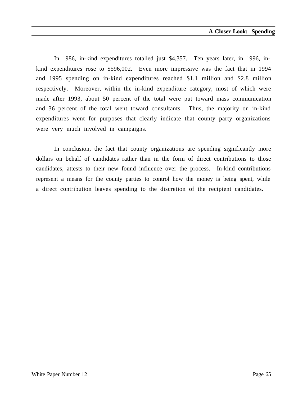In 1986, in-kind expenditures totalled just \$4,357. Ten years later, in 1996, inkind expenditures rose to \$596,002. Even more impressive was the fact that in 1994 and 1995 spending on in-kind expenditures reached \$1.1 million and \$2.8 million respectively. Moreover, within the in-kind expenditure category, most of which were made after 1993, about 50 percent of the total were put toward mass communication and 36 percent of the total went toward consultants. Thus, the majority on in-kind expenditures went for purposes that clearly indicate that county party organizations were very much involved in campaigns.

In conclusion, the fact that county organizations are spending significantly more dollars on behalf of candidates rather than in the form of direct contributions to those candidates, attests to their new found influence over the process. In-kind contributions represent a means for the county parties to control how the money is being spent, while a direct contribution leaves spending to the discretion of the recipient candidates.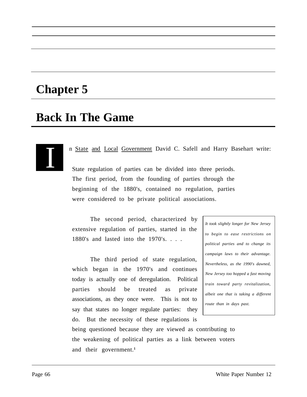# **Chapter 5**

# **Back In The Game**

I

n State and Local Government David C. Safell and Harry Basehart write:

State regulation of parties can be divided into three periods. The first period, from the founding of parties through the beginning of the 1880's, contained no regulation, parties were considered to be private political associations.

The second period, characterized by extensive regulation of parties, started in the 1880's and lasted into the 1970's. . . .

The third period of state regulation, which began in the 1970's and continues today is actually one of deregulation. Political parties should be treated as private associations, as they once were. This is not to say that states no longer regulate parties: they do. But the necessity of these regulations is

*It took slightly longer for New Jersey to begin to ease restrictions on political parties and to change its campaign laws to their advantage. Nevertheless, as the 1990's dawned, New Jersey too hopped a fast moving train toward party revitalization, albeit one that is taking a different route than in days past.*

being questioned because they are viewed as contributing to the weakening of political parties as a link between voters and their government.**<sup>1</sup>**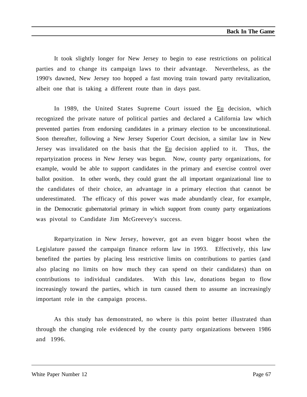It took slightly longer for New Jersey to begin to ease restrictions on political parties and to change its campaign laws to their advantage. Nevertheless, as the 1990's dawned, New Jersey too hopped a fast moving train toward party revitalization, albeit one that is taking a different route than in days past.

In 1989, the United States Supreme Court issued the Eu decision, which recognized the private nature of political parties and declared a California law which prevented parties from endorsing candidates in a primary election to be unconstitutional. Soon thereafter, following a New Jersey Superior Court decision, a similar law in New Jersey was invalidated on the basis that the Eu decision applied to it. Thus, the repartyization process in New Jersey was begun. Now, county party organizations, for example, would be able to support candidates in the primary and exercise control over ballot position. In other words, they could grant the all important organizational line to the candidates of their choice, an advantage in a primary election that cannot be underestimated. The efficacy of this power was made abundantly clear, for example, in the Democratic gubernatorial primary in which support from county party organizations was pivotal to Candidate Jim McGreevey's success.

Repartyization in New Jersey, however, got an even bigger boost when the Legislature passed the campaign finance reform law in 1993. Effectively, this law benefited the parties by placing less restrictive limits on contributions to parties (and also placing no limits on how much they can spend on their candidates) than on contributions to individual candidates. With this law, donations began to flow increasingly toward the parties, which in turn caused them to assume an increasingly important role in the campaign process.

As this study has demonstrated, no where is this point better illustrated than through the changing role evidenced by the county party organizations between 1986 and 1996.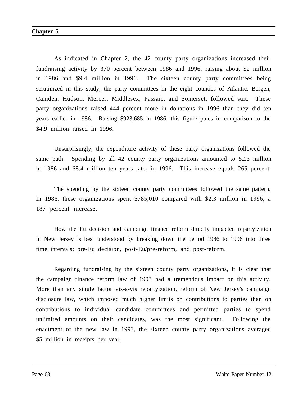As indicated in Chapter 2, the 42 county party organizations increased their fundraising activity by 370 percent between 1986 and 1996, raising about \$2 million in 1986 and \$9.4 million in 1996. The sixteen county party committees being scrutinized in this study, the party committees in the eight counties of Atlantic, Bergen, Camden, Hudson, Mercer, Middlesex, Passaic, and Somerset, followed suit. These party organizations raised 444 percent more in donations in 1996 than they did ten years earlier in 1986. Raising \$923,685 in 1986, this figure pales in comparison to the \$4.9 million raised in 1996.

Unsurprisingly, the expenditure activity of these party organizations followed the same path. Spending by all 42 county party organizations amounted to \$2.3 million in 1986 and \$8.4 million ten years later in 1996. This increase equals 265 percent.

The spending by the sixteen county party committees followed the same pattern. In 1986, these organizations spent \$785,010 compared with \$2.3 million in 1996, a 187 percent increase.

How the Eu decision and campaign finance reform directly impacted repartyization in New Jersey is best understood by breaking down the period 1986 to 1996 into three time intervals; pre-Eu decision, post-Eu/pre-reform, and post-reform.

Regarding fundraising by the sixteen county party organizations, it is clear that the campaign finance reform law of 1993 had a tremendous impact on this activity. More than any single factor vis-a-vis repartyization, reform of New Jersey's campaign disclosure law, which imposed much higher limits on contributions to parties than on contributions to individual candidate committees and permitted parties to spend unlimited amounts on their candidates, was the most significant. Following the enactment of the new law in 1993, the sixteen county party organizations averaged \$5 million in receipts per year.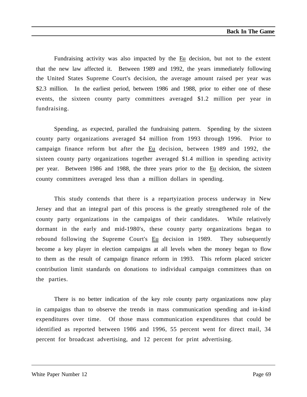Fundraising activity was also impacted by the Eu decision, but not to the extent that the new law affected it. Between 1989 and 1992, the years immediately following the United States Supreme Court's decision, the average amount raised per year was \$2.3 million. In the earliest period, between 1986 and 1988, prior to either one of these events, the sixteen county party committees averaged \$1.2 million per year in fundraising.

Spending, as expected, paralled the fundraising pattern. Spending by the sixteen county party organizations averaged \$4 million from 1993 through 1996. Prior to campaign finance reform but after the Eu decision, between 1989 and 1992, the sixteen county party organizations together averaged \$1.4 million in spending activity per year. Between 1986 and 1988, the three years prior to the Eu decision, the sixteen county committees averaged less than a million dollars in spending.

This study contends that there is a repartyization process underway in New Jersey and that an integral part of this process is the greatly strengthened role of the county party organizations in the campaigns of their candidates. While relatively dormant in the early and mid-1980's, these county party organizations began to rebound following the Supreme Court's Eu decision in 1989. They subsequently become a key player in election campaigns at all levels when the money began to flow to them as the result of campaign finance reform in 1993. This reform placed stricter contribution limit standards on donations to individual campaign committees than on the parties.

There is no better indication of the key role county party organizations now play in campaigns than to observe the trends in mass communication spending and in-kind expenditures over time. Of those mass communication expenditures that could be identified as reported between 1986 and 1996, 55 percent went for direct mail, 34 percent for broadcast advertising, and 12 percent for print advertising.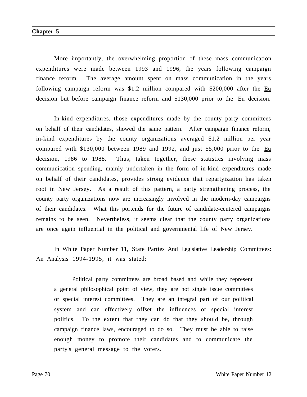More importantly, the overwhelming proportion of these mass communication expenditures were made between 1993 and 1996, the years following campaign finance reform. The average amount spent on mass communication in the years following campaign reform was \$1.2 million compared with \$200,000 after the Eu decision but before campaign finance reform and \$130,000 prior to the Eu decision.

In-kind expenditures, those expenditures made by the county party committees on behalf of their candidates, showed the same pattern. After campaign finance reform, in-kind expenditures by the county organizations averaged \$1.2 million per year compared with \$130,000 between 1989 and 1992, and just \$5,000 prior to the Eu decision, 1986 to 1988. Thus, taken together, these statistics involving mass communication spending, mainly undertaken in the form of in-kind expenditures made on behalf of their candidates, provides strong evidence that repartyization has taken root in New Jersey. As a result of this pattern, a party strengthening process, the county party organizations now are increasingly involved in the modern-day campaigns of their candidates. What this portends for the future of candidate-centered campaigns remains to be seen. Nevertheless, it seems clear that the county party organizations are once again influential in the political and governmental life of New Jersey.

In White Paper Number 11, State Parties And Legislative Leadership Committees: An Analysis 1994-1995, it was stated:

Political party committees are broad based and while they represent a general philosophical point of view, they are not single issue committees or special interest committees. They are an integral part of our political system and can effectively offset the influences of special interest politics. To the extent that they can do that they should be, through campaign finance laws, encouraged to do so. They must be able to raise enough money to promote their candidates and to communicate the party's general message to the voters.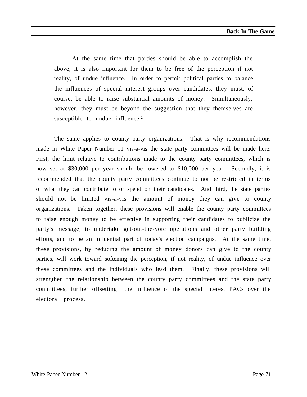At the same time that parties should be able to accomplish the above, it is also important for them to be free of the perception if not reality, of undue influence. In order to permit political parties to balance the influences of special interest groups over candidates, they must, of course, be able to raise substantial amounts of money. Simultaneously, however, they must be beyond the suggestion that they themselves are susceptible to undue influence.**<sup>2</sup>**

The same applies to county party organizations. That is why recommendations made in White Paper Number 11 vis-a-vis the state party committees will be made here. First, the limit relative to contributions made to the county party committees, which is now set at \$30,000 per year should be lowered to \$10,000 per year. Secondly, it is recommended that the county party committees continue to not be restricted in terms of what they can contribute to or spend on their candidates. And third, the state parties should not be limited vis-a-vis the amount of money they can give to county organizations. Taken together, these provisions will enable the county party committees to raise enough money to be effective in supporting their candidates to publicize the party's message, to undertake get-out-the-vote operations and other party building efforts, and to be an influential part of today's election campaigns. At the same time, these provisions, by reducing the amount of money donors can give to the county parties, will work toward softening the perception, if not reality, of undue influence over these committees and the individuals who lead them. Finally, these provisions will strengthen the relationship between the county party committees and the state party committees, further offsetting the influence of the special interest PACs over the electoral process.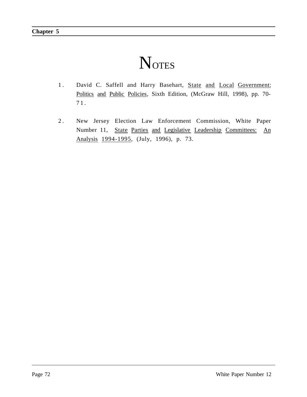## **N**OTES

- 1. David C. Saffell and Harry Basehart, State and Local Government: Politics and Public Policies, Sixth Edition, (McGraw Hill, 1998), pp. 70- 71.
- 2 . New Jersey Election Law Enforcement Commission, White Paper Number 11, State Parties and Legislative Leadership Committees: An Analysis 1994-1995, (July, 1996), p. 73.